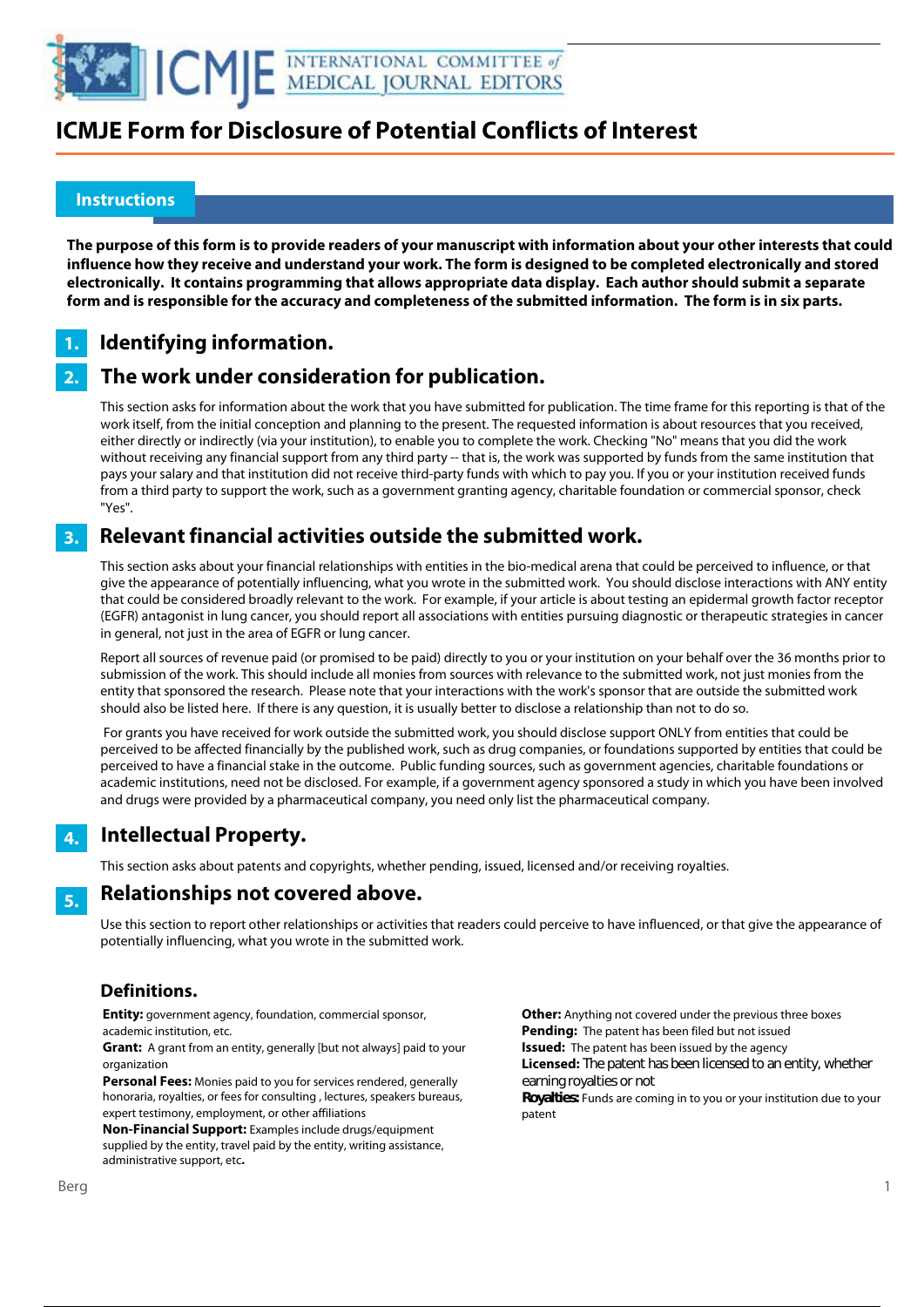

### **Instructions**

**The purpose of this form is to provide readers of your manuscript with information about your other interests that could influence how they receive and understand your work. The form is designed to be completed electronically and stored electronically. It contains programming that allows appropriate data display. Each author should submit a separate form and is responsible for the accuracy and completeness of the submitted information. The form is in six parts.** 

#### **Identifying information. 1.**

#### **The work under consideration for publication. 2.**

This section asks for information about the work that you have submitted for publication. The time frame for this reporting is that of the work itself, from the initial conception and planning to the present. The requested information is about resources that you received, either directly or indirectly (via your institution), to enable you to complete the work. Checking "No" means that you did the work without receiving any financial support from any third party -- that is, the work was supported by funds from the same institution that pays your salary and that institution did not receive third-party funds with which to pay you. If you or your institution received funds from a third party to support the work, such as a government granting agency, charitable foundation or commercial sponsor, check "Yes".

#### **Relevant financial activities outside the submitted work. 3.**

This section asks about your financial relationships with entities in the bio-medical arena that could be perceived to influence, or that give the appearance of potentially influencing, what you wrote in the submitted work. You should disclose interactions with ANY entity that could be considered broadly relevant to the work. For example, if your article is about testing an epidermal growth factor receptor (EGFR) antagonist in lung cancer, you should report all associations with entities pursuing diagnostic or therapeutic strategies in cancer in general, not just in the area of EGFR or lung cancer.

Report all sources of revenue paid (or promised to be paid) directly to you or your institution on your behalf over the 36 months prior to submission of the work. This should include all monies from sources with relevance to the submitted work, not just monies from the entity that sponsored the research. Please note that your interactions with the work's sponsor that are outside the submitted work should also be listed here. If there is any question, it is usually better to disclose a relationship than not to do so.

 For grants you have received for work outside the submitted work, you should disclose support ONLY from entities that could be perceived to be affected financially by the published work, such as drug companies, or foundations supported by entities that could be perceived to have a financial stake in the outcome. Public funding sources, such as government agencies, charitable foundations or academic institutions, need not be disclosed. For example, if a government agency sponsored a study in which you have been involved and drugs were provided by a pharmaceutical company, you need only list the pharmaceutical company.

#### **Intellectual Property. 4.**

This section asks about patents and copyrights, whether pending, issued, licensed and/or receiving royalties.

#### **Relationships not covered above. 5.**

Use this section to report other relationships or activities that readers could perceive to have influenced, or that give the appearance of potentially influencing, what you wrote in the submitted work.

### **Definitions.**

**Entity:** government agency, foundation, commercial sponsor, academic institution, etc.

**Grant:** A grant from an entity, generally [but not always] paid to your organization

**Personal Fees:** Monies paid to you for services rendered, generally honoraria, royalties, or fees for consulting , lectures, speakers bureaus, expert testimony, employment, or other affiliations

**Non-Financial Support:** Examples include drugs/equipment supplied by the entity, travel paid by the entity, writing assistance, administrative support, etc**.**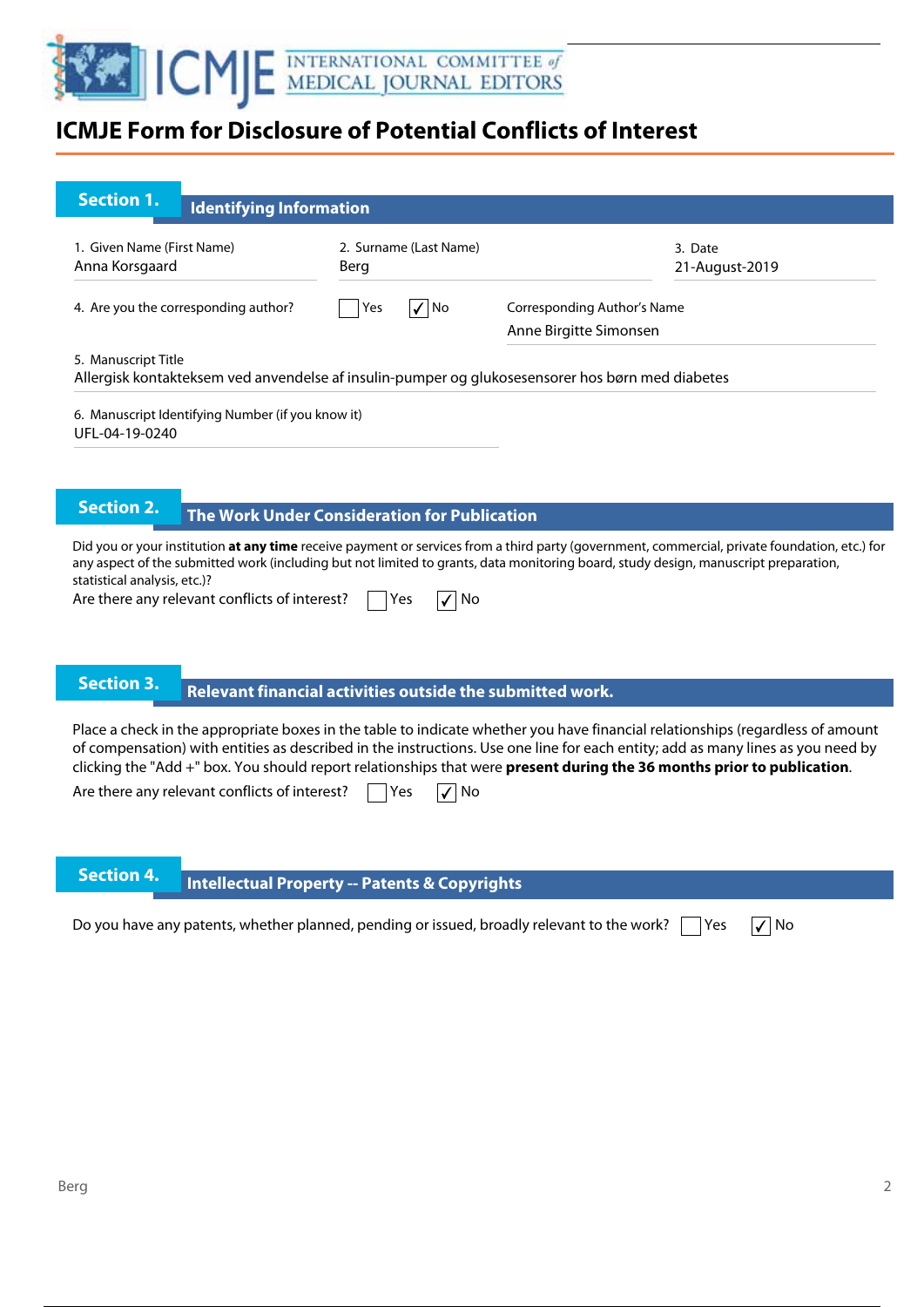

| <b>Section 1.</b><br><b>Identifying Information</b>                                                                                                                                                                                                                                                                                                                                                                                          |                                                           |                                                       |                           |
|----------------------------------------------------------------------------------------------------------------------------------------------------------------------------------------------------------------------------------------------------------------------------------------------------------------------------------------------------------------------------------------------------------------------------------------------|-----------------------------------------------------------|-------------------------------------------------------|---------------------------|
| 1. Given Name (First Name)<br>Anna Korsgaard                                                                                                                                                                                                                                                                                                                                                                                                 | 2. Surname (Last Name)<br>Berg                            |                                                       | 3. Date<br>21-August-2019 |
| 4. Are you the corresponding author?                                                                                                                                                                                                                                                                                                                                                                                                         | $\sqrt{}$ No<br>Yes                                       | Corresponding Author's Name<br>Anne Birgitte Simonsen |                           |
| 5. Manuscript Title<br>Allergisk kontakteksem ved anvendelse af insulin-pumper og glukosesensorer hos børn med diabetes                                                                                                                                                                                                                                                                                                                      |                                                           |                                                       |                           |
| 6. Manuscript Identifying Number (if you know it)<br>UFL-04-19-0240                                                                                                                                                                                                                                                                                                                                                                          |                                                           |                                                       |                           |
|                                                                                                                                                                                                                                                                                                                                                                                                                                              |                                                           |                                                       |                           |
| <b>Section 2.</b>                                                                                                                                                                                                                                                                                                                                                                                                                            | The Work Under Consideration for Publication              |                                                       |                           |
| Did you or your institution at any time receive payment or services from a third party (government, commercial, private foundation, etc.) for<br>any aspect of the submitted work (including but not limited to grants, data monitoring board, study design, manuscript preparation,<br>statistical analysis, etc.)?<br>Are there any relevant conflicts of interest?                                                                        | Yes<br>$\sqrt{}$ No                                       |                                                       |                           |
| <b>Section 3.</b>                                                                                                                                                                                                                                                                                                                                                                                                                            | Relevant financial activities outside the submitted work. |                                                       |                           |
| Place a check in the appropriate boxes in the table to indicate whether you have financial relationships (regardless of amount<br>of compensation) with entities as described in the instructions. Use one line for each entity; add as many lines as you need by<br>clicking the "Add +" box. You should report relationships that were present during the 36 months prior to publication.<br>Are there any relevant conflicts of interest? | $\sqrt{ NQ}$<br>Yes                                       |                                                       |                           |
| <b>Section 4.</b>                                                                                                                                                                                                                                                                                                                                                                                                                            | <b>Intellectual Property -- Patents &amp; Copyrights</b>  |                                                       |                           |

Do you have any patents, whether planned, pending or issued, broadly relevant to the work?  $\Box$  Yes  $\Box$  No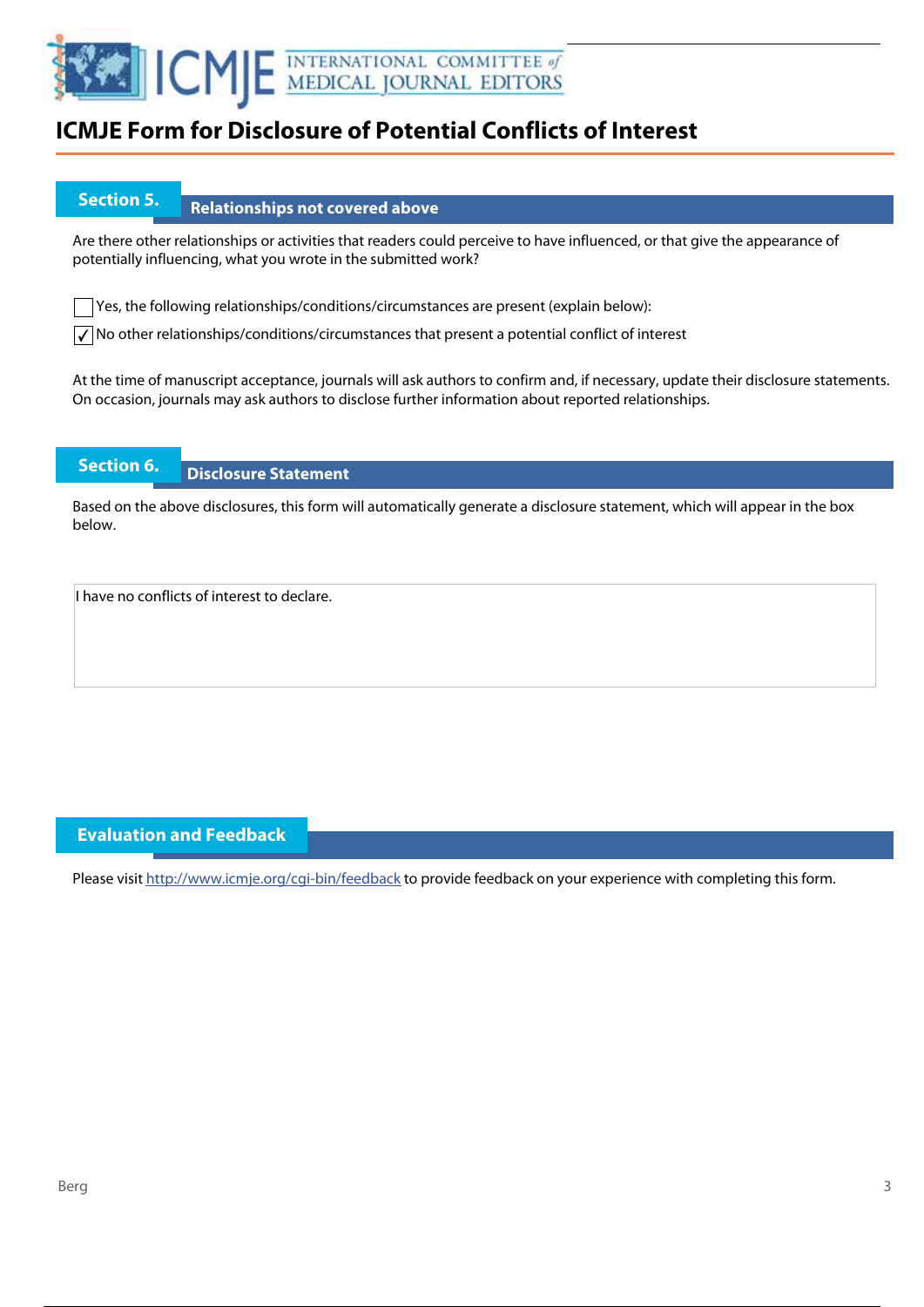

## **Section 5.** Relationships not covered above

Are there other relationships or activities that readers could perceive to have influenced, or that give the appearance of potentially influencing, what you wrote in the submitted work?

Yes, the following relationships/conditions/circumstances are present (explain below):

 $\sqrt{\sqrt{}}$  No other relationships/conditions/circumstances that present a potential conflict of interest

At the time of manuscript acceptance, journals will ask authors to confirm and, if necessary, update their disclosure statements. On occasion, journals may ask authors to disclose further information about reported relationships.

### **Section 6. Disclosure Statement**

Based on the above disclosures, this form will automatically generate a disclosure statement, which will appear in the box below.

I have no conflicts of interest to declare.

### **Evaluation and Feedback**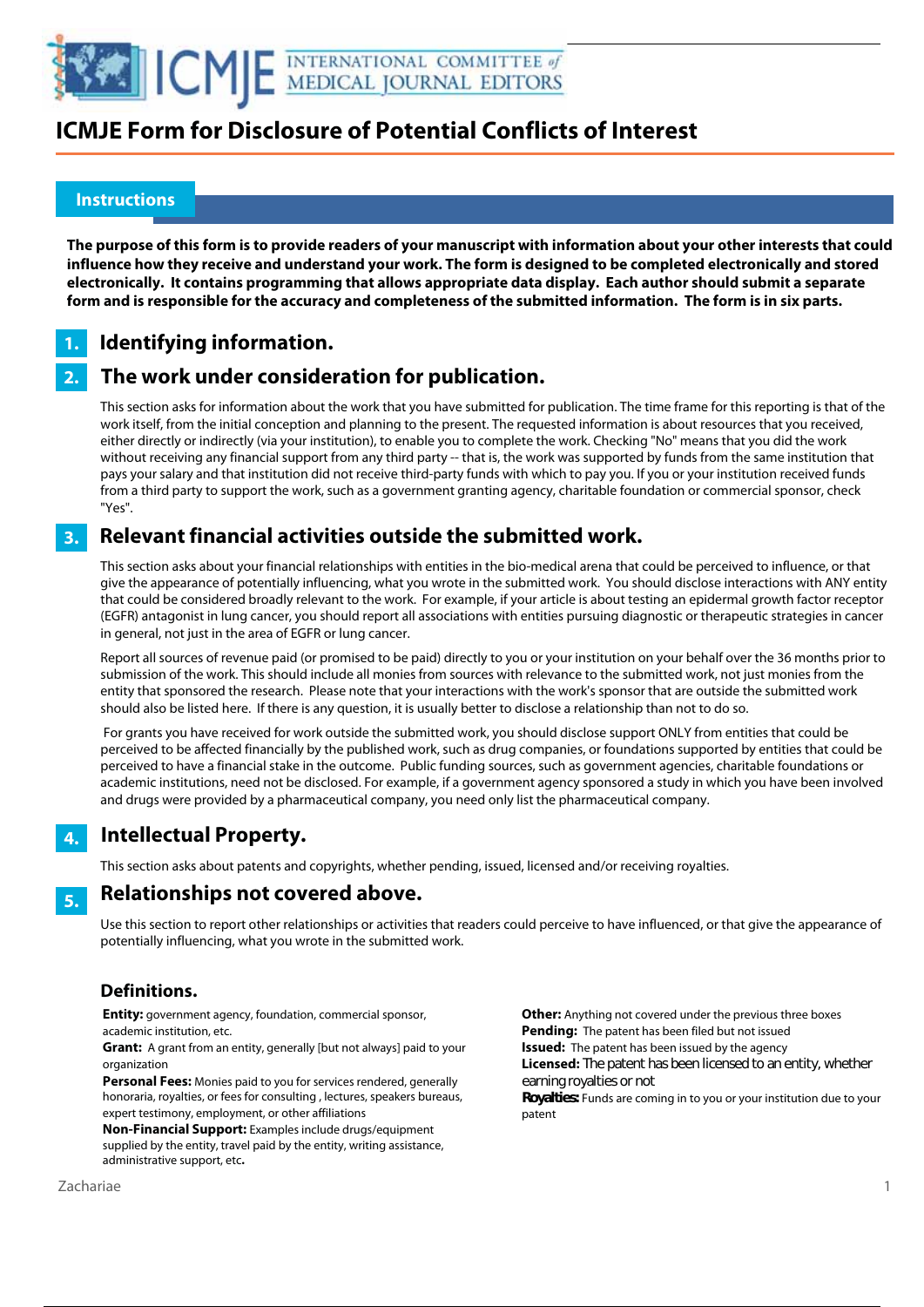

### **Instructions**

**The purpose of this form is to provide readers of your manuscript with information about your other interests that could influence how they receive and understand your work. The form is designed to be completed electronically and stored electronically. It contains programming that allows appropriate data display. Each author should submit a separate form and is responsible for the accuracy and completeness of the submitted information. The form is in six parts.** 

#### **Identifying information. 1.**

#### **The work under consideration for publication. 2.**

This section asks for information about the work that you have submitted for publication. The time frame for this reporting is that of the work itself, from the initial conception and planning to the present. The requested information is about resources that you received, either directly or indirectly (via your institution), to enable you to complete the work. Checking "No" means that you did the work without receiving any financial support from any third party -- that is, the work was supported by funds from the same institution that pays your salary and that institution did not receive third-party funds with which to pay you. If you or your institution received funds from a third party to support the work, such as a government granting agency, charitable foundation or commercial sponsor, check "Yes".

#### **Relevant financial activities outside the submitted work. 3.**

This section asks about your financial relationships with entities in the bio-medical arena that could be perceived to influence, or that give the appearance of potentially influencing, what you wrote in the submitted work. You should disclose interactions with ANY entity that could be considered broadly relevant to the work. For example, if your article is about testing an epidermal growth factor receptor (EGFR) antagonist in lung cancer, you should report all associations with entities pursuing diagnostic or therapeutic strategies in cancer in general, not just in the area of EGFR or lung cancer.

Report all sources of revenue paid (or promised to be paid) directly to you or your institution on your behalf over the 36 months prior to submission of the work. This should include all monies from sources with relevance to the submitted work, not just monies from the entity that sponsored the research. Please note that your interactions with the work's sponsor that are outside the submitted work should also be listed here. If there is any question, it is usually better to disclose a relationship than not to do so.

 For grants you have received for work outside the submitted work, you should disclose support ONLY from entities that could be perceived to be affected financially by the published work, such as drug companies, or foundations supported by entities that could be perceived to have a financial stake in the outcome. Public funding sources, such as government agencies, charitable foundations or academic institutions, need not be disclosed. For example, if a government agency sponsored a study in which you have been involved and drugs were provided by a pharmaceutical company, you need only list the pharmaceutical company.

#### **Intellectual Property. 4.**

This section asks about patents and copyrights, whether pending, issued, licensed and/or receiving royalties.

#### **Relationships not covered above. 5.**

Use this section to report other relationships or activities that readers could perceive to have influenced, or that give the appearance of potentially influencing, what you wrote in the submitted work.

### **Definitions.**

**Entity:** government agency, foundation, commercial sponsor, academic institution, etc.

**Grant:** A grant from an entity, generally [but not always] paid to your organization

**Personal Fees:** Monies paid to you for services rendered, generally honoraria, royalties, or fees for consulting , lectures, speakers bureaus, expert testimony, employment, or other affiliations

**Non-Financial Support:** Examples include drugs/equipment supplied by the entity, travel paid by the entity, writing assistance, administrative support, etc**.**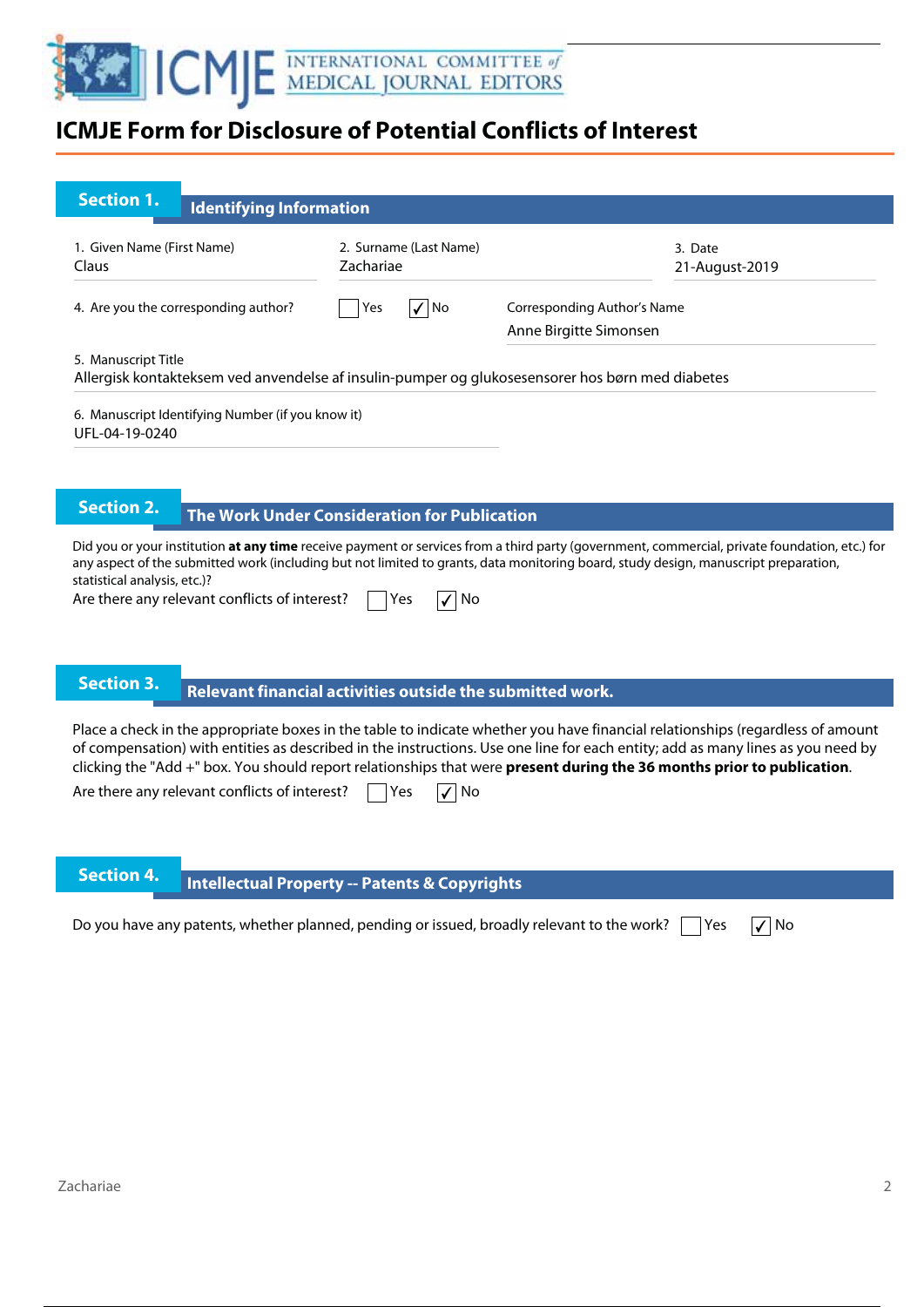

| <b>Section 1.</b>                   | <b>Identifying Information</b>                    |                                                           |                                                                                                                                                                                                                                                                                                                                                                                             |
|-------------------------------------|---------------------------------------------------|-----------------------------------------------------------|---------------------------------------------------------------------------------------------------------------------------------------------------------------------------------------------------------------------------------------------------------------------------------------------------------------------------------------------------------------------------------------------|
| 1. Given Name (First Name)<br>Claus |                                                   | 2. Surname (Last Name)<br>Zachariae                       | 3. Date<br>21-August-2019                                                                                                                                                                                                                                                                                                                                                                   |
|                                     | 4. Are you the corresponding author?              | $\sqrt{ N_{0}}$<br>Yes                                    | Corresponding Author's Name<br>Anne Birgitte Simonsen                                                                                                                                                                                                                                                                                                                                       |
| 5. Manuscript Title                 |                                                   |                                                           | Allergisk kontakteksem ved anvendelse af insulin-pumper og glukosesensorer hos børn med diabetes                                                                                                                                                                                                                                                                                            |
| UFL-04-19-0240                      | 6. Manuscript Identifying Number (if you know it) |                                                           |                                                                                                                                                                                                                                                                                                                                                                                             |
|                                     |                                                   |                                                           |                                                                                                                                                                                                                                                                                                                                                                                             |
| <b>Section 2.</b>                   |                                                   | <b>The Work Under Consideration for Publication</b>       |                                                                                                                                                                                                                                                                                                                                                                                             |
| statistical analysis, etc.)?        | Are there any relevant conflicts of interest?     | $\sqrt{ }$ No<br>Yes                                      | Did you or your institution at any time receive payment or services from a third party (government, commercial, private foundation, etc.) for<br>any aspect of the submitted work (including but not limited to grants, data monitoring board, study design, manuscript preparation,                                                                                                        |
| <b>Section 3.</b>                   |                                                   | Relevant financial activities outside the submitted work. |                                                                                                                                                                                                                                                                                                                                                                                             |
|                                     | Are there any relevant conflicts of interest?     | Yes<br>No                                                 | Place a check in the appropriate boxes in the table to indicate whether you have financial relationships (regardless of amount<br>of compensation) with entities as described in the instructions. Use one line for each entity; add as many lines as you need by<br>clicking the "Add +" box. You should report relationships that were present during the 36 months prior to publication. |
| Saction 4                           |                                                   |                                                           |                                                                                                                                                                                                                                                                                                                                                                                             |

| Do you have any patents, whether planned, pending or issued, broadly relevant to the work? $\Box$ Yes $\Box$ No |  |  |
|-----------------------------------------------------------------------------------------------------------------|--|--|
|-----------------------------------------------------------------------------------------------------------------|--|--|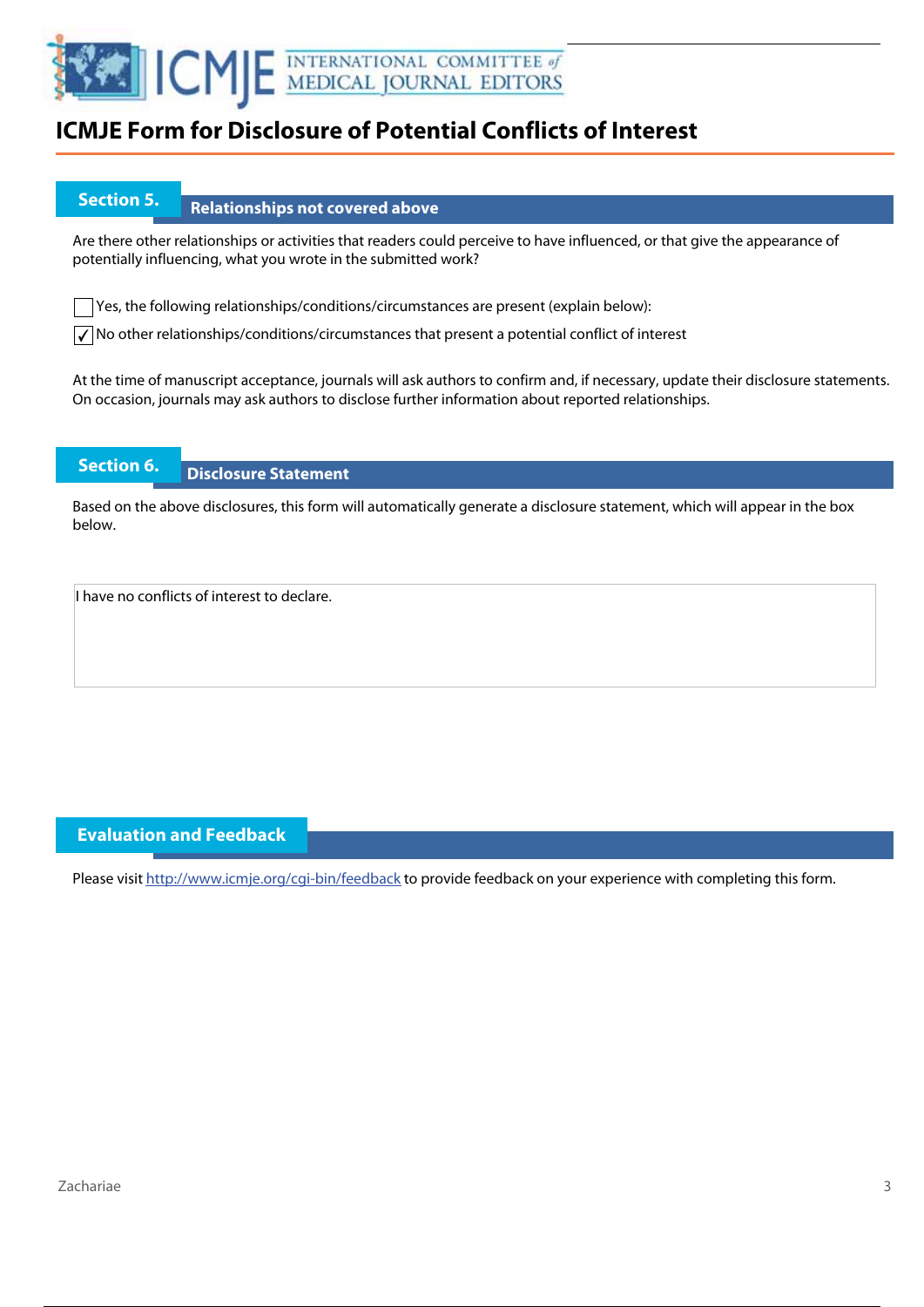

## **Section 5.** Relationships not covered above

Are there other relationships or activities that readers could perceive to have influenced, or that give the appearance of potentially influencing, what you wrote in the submitted work?

Yes, the following relationships/conditions/circumstances are present (explain below):

 $\sqrt{\sqrt{}}$  No other relationships/conditions/circumstances that present a potential conflict of interest

At the time of manuscript acceptance, journals will ask authors to confirm and, if necessary, update their disclosure statements. On occasion, journals may ask authors to disclose further information about reported relationships.

### **Section 6. Disclosure Statement**

Based on the above disclosures, this form will automatically generate a disclosure statement, which will appear in the box below.

I have no conflicts of interest to declare.

### **Evaluation and Feedback**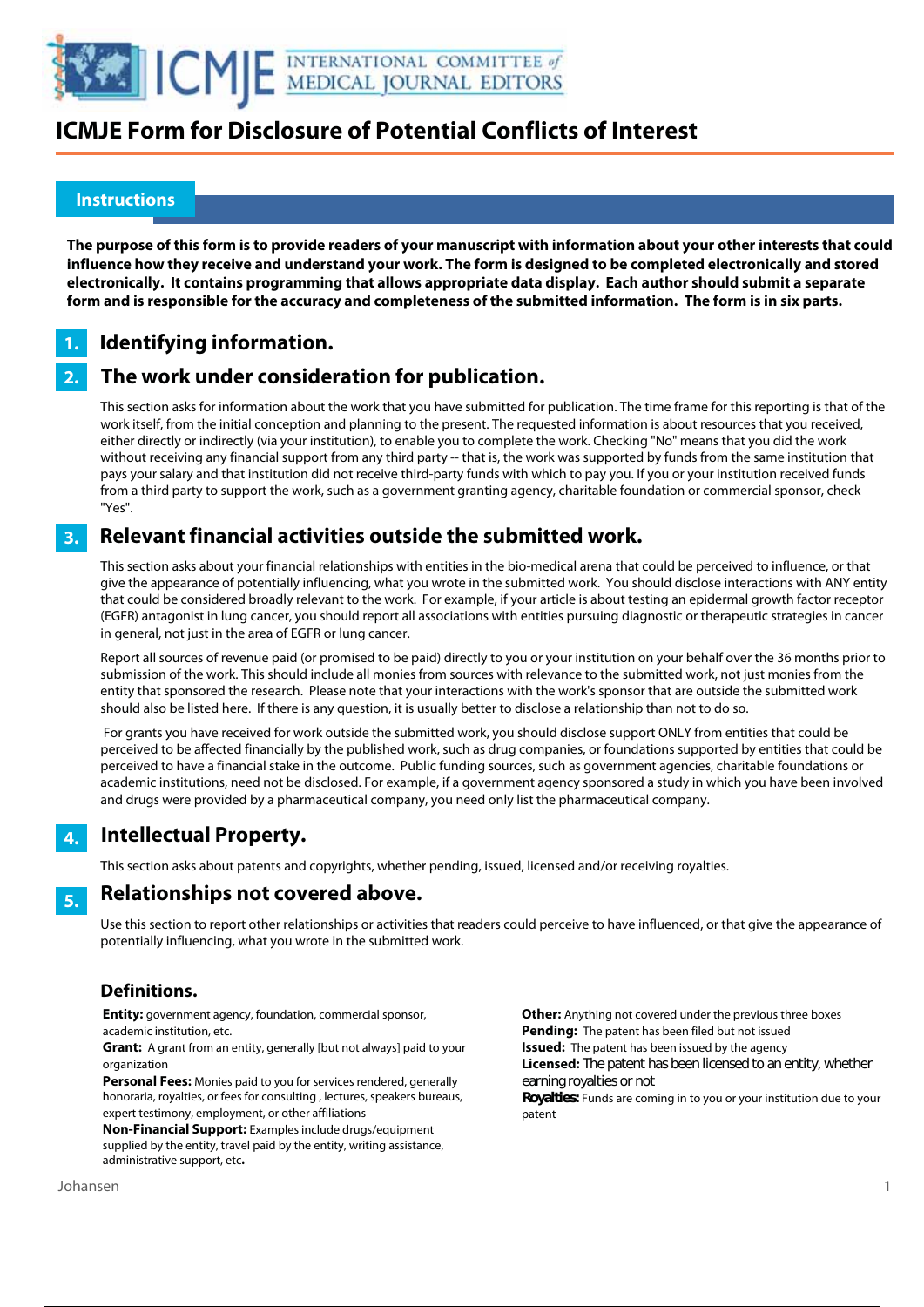

### **Instructions**

**The purpose of this form is to provide readers of your manuscript with information about your other interests that could influence how they receive and understand your work. The form is designed to be completed electronically and stored electronically. It contains programming that allows appropriate data display. Each author should submit a separate form and is responsible for the accuracy and completeness of the submitted information. The form is in six parts.** 

#### **Identifying information. 1.**

#### **The work under consideration for publication. 2.**

This section asks for information about the work that you have submitted for publication. The time frame for this reporting is that of the work itself, from the initial conception and planning to the present. The requested information is about resources that you received, either directly or indirectly (via your institution), to enable you to complete the work. Checking "No" means that you did the work without receiving any financial support from any third party -- that is, the work was supported by funds from the same institution that pays your salary and that institution did not receive third-party funds with which to pay you. If you or your institution received funds from a third party to support the work, such as a government granting agency, charitable foundation or commercial sponsor, check "Yes".

#### **Relevant financial activities outside the submitted work. 3.**

This section asks about your financial relationships with entities in the bio-medical arena that could be perceived to influence, or that give the appearance of potentially influencing, what you wrote in the submitted work. You should disclose interactions with ANY entity that could be considered broadly relevant to the work. For example, if your article is about testing an epidermal growth factor receptor (EGFR) antagonist in lung cancer, you should report all associations with entities pursuing diagnostic or therapeutic strategies in cancer in general, not just in the area of EGFR or lung cancer.

Report all sources of revenue paid (or promised to be paid) directly to you or your institution on your behalf over the 36 months prior to submission of the work. This should include all monies from sources with relevance to the submitted work, not just monies from the entity that sponsored the research. Please note that your interactions with the work's sponsor that are outside the submitted work should also be listed here. If there is any question, it is usually better to disclose a relationship than not to do so.

 For grants you have received for work outside the submitted work, you should disclose support ONLY from entities that could be perceived to be affected financially by the published work, such as drug companies, or foundations supported by entities that could be perceived to have a financial stake in the outcome. Public funding sources, such as government agencies, charitable foundations or academic institutions, need not be disclosed. For example, if a government agency sponsored a study in which you have been involved and drugs were provided by a pharmaceutical company, you need only list the pharmaceutical company.

#### **Intellectual Property. 4.**

This section asks about patents and copyrights, whether pending, issued, licensed and/or receiving royalties.

#### **Relationships not covered above. 5.**

Use this section to report other relationships or activities that readers could perceive to have influenced, or that give the appearance of potentially influencing, what you wrote in the submitted work.

### **Definitions.**

**Entity:** government agency, foundation, commercial sponsor, academic institution, etc.

**Grant:** A grant from an entity, generally [but not always] paid to your organization

**Personal Fees:** Monies paid to you for services rendered, generally honoraria, royalties, or fees for consulting , lectures, speakers bureaus, expert testimony, employment, or other affiliations

**Non-Financial Support:** Examples include drugs/equipment supplied by the entity, travel paid by the entity, writing assistance, administrative support, etc**.**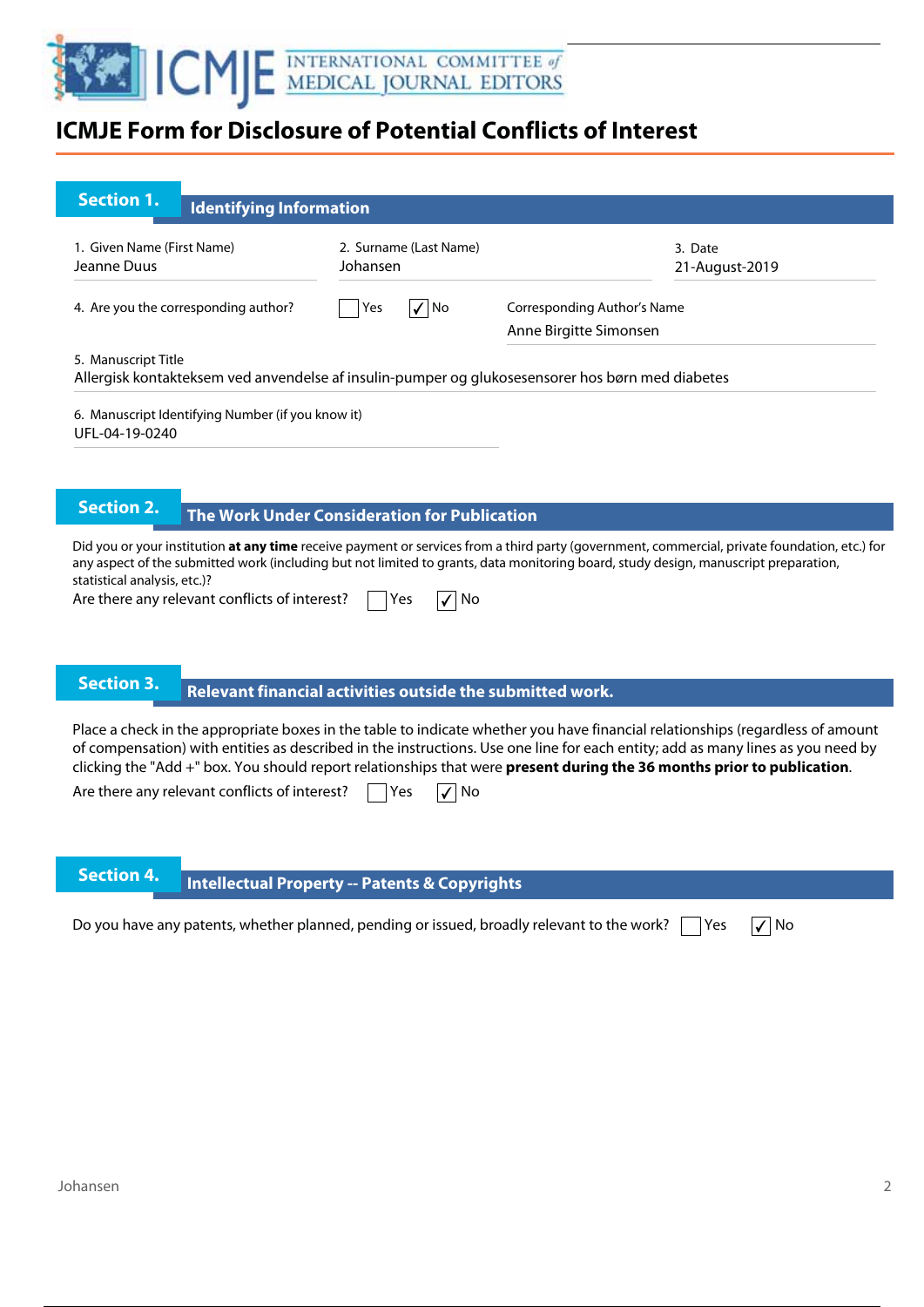

| <b>Section 1.</b>                                                   | <b>Identifying Information</b>                                                                   |                                                                                                                                                                                                                                                                                                                                                                                             |
|---------------------------------------------------------------------|--------------------------------------------------------------------------------------------------|---------------------------------------------------------------------------------------------------------------------------------------------------------------------------------------------------------------------------------------------------------------------------------------------------------------------------------------------------------------------------------------------|
| 1. Given Name (First Name)<br>Jeanne Duus                           | 2. Surname (Last Name)<br>Johansen                                                               | 3. Date<br>21-August-2019                                                                                                                                                                                                                                                                                                                                                                   |
| 4. Are you the corresponding author?                                | $\sqrt{ N_0 }$<br>Corresponding Author's Name<br>Yes<br>Anne Birgitte Simonsen                   |                                                                                                                                                                                                                                                                                                                                                                                             |
| 5. Manuscript Title                                                 | Allergisk kontakteksem ved anvendelse af insulin-pumper og glukosesensorer hos børn med diabetes |                                                                                                                                                                                                                                                                                                                                                                                             |
| 6. Manuscript Identifying Number (if you know it)<br>UFL-04-19-0240 |                                                                                                  |                                                                                                                                                                                                                                                                                                                                                                                             |
|                                                                     |                                                                                                  |                                                                                                                                                                                                                                                                                                                                                                                             |
| <b>Section 2.</b>                                                   | <b>The Work Under Consideration for Publication</b>                                              |                                                                                                                                                                                                                                                                                                                                                                                             |
| statistical analysis, etc.)?                                        |                                                                                                  | Did you or your institution at any time receive payment or services from a third party (government, commercial, private foundation, etc.) for<br>any aspect of the submitted work (including but not limited to grants, data monitoring board, study design, manuscript preparation,                                                                                                        |
| Are there any relevant conflicts of interest?                       | No<br>Yes                                                                                        |                                                                                                                                                                                                                                                                                                                                                                                             |
|                                                                     |                                                                                                  |                                                                                                                                                                                                                                                                                                                                                                                             |
| <b>Section 3.</b>                                                   | Relevant financial activities outside the submitted work.                                        |                                                                                                                                                                                                                                                                                                                                                                                             |
|                                                                     |                                                                                                  | Place a check in the appropriate boxes in the table to indicate whether you have financial relationships (regardless of amount<br>of compensation) with entities as described in the instructions. Use one line for each entity; add as many lines as you need by<br>clicking the "Add +" box. You should report relationships that were present during the 36 months prior to publication. |
| Are there any relevant conflicts of interest?                       | Yes<br>No                                                                                        |                                                                                                                                                                                                                                                                                                                                                                                             |
|                                                                     |                                                                                                  |                                                                                                                                                                                                                                                                                                                                                                                             |
|                                                                     |                                                                                                  |                                                                                                                                                                                                                                                                                                                                                                                             |

| Do you have any patents, whether planned, pending or issued, broadly relevant to the work? $\Box$ Yes $\Box$ No |  |  |  |  |
|-----------------------------------------------------------------------------------------------------------------|--|--|--|--|
|-----------------------------------------------------------------------------------------------------------------|--|--|--|--|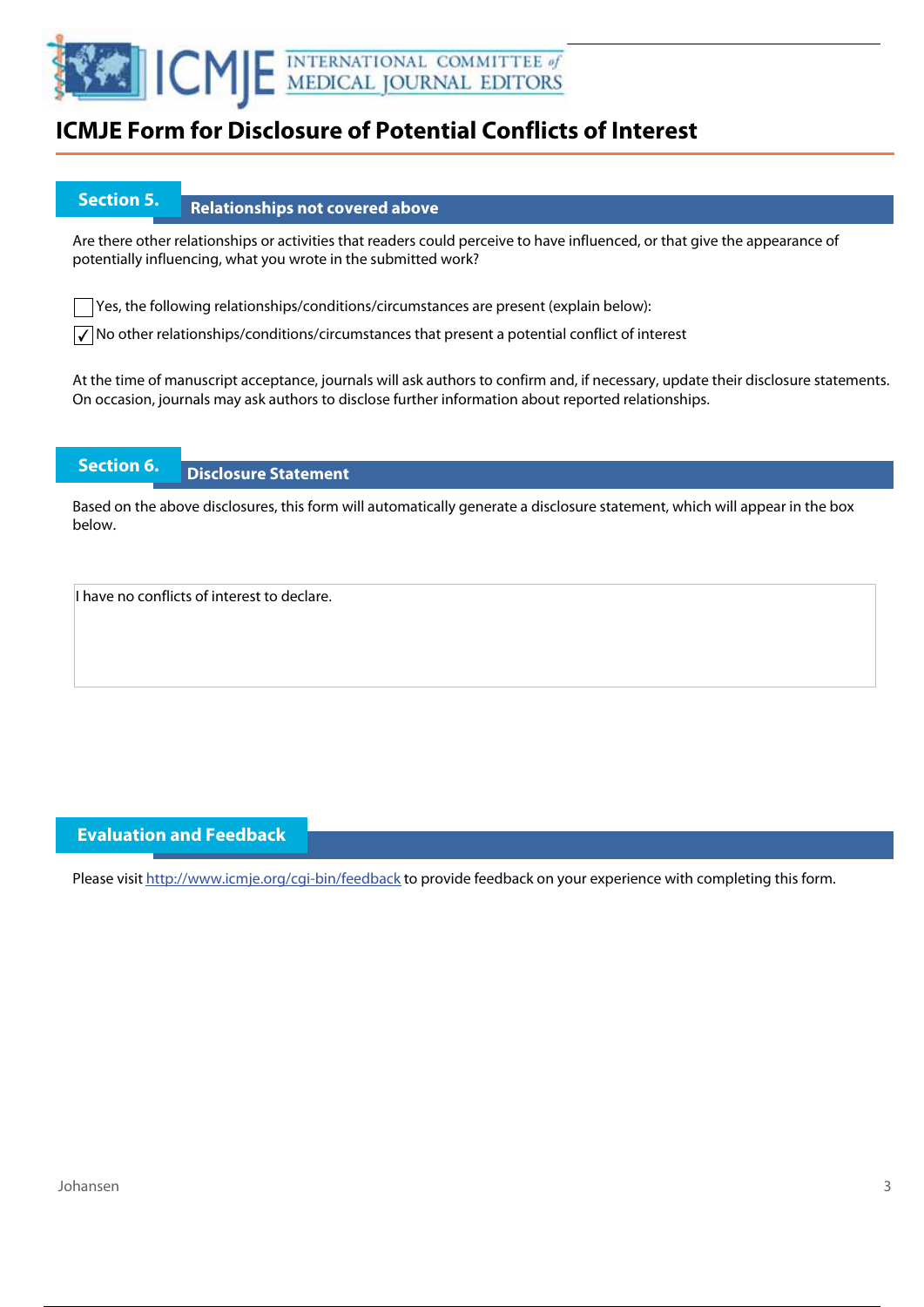

## **Section 5.** Relationships not covered above

Are there other relationships or activities that readers could perceive to have influenced, or that give the appearance of potentially influencing, what you wrote in the submitted work?

Yes, the following relationships/conditions/circumstances are present (explain below):

 $\sqrt{\sqrt{}}$  No other relationships/conditions/circumstances that present a potential conflict of interest

At the time of manuscript acceptance, journals will ask authors to confirm and, if necessary, update their disclosure statements. On occasion, journals may ask authors to disclose further information about reported relationships.

### **Section 6. Disclosure Statement**

Based on the above disclosures, this form will automatically generate a disclosure statement, which will appear in the box below.

I have no conflicts of interest to declare.

### **Evaluation and Feedback**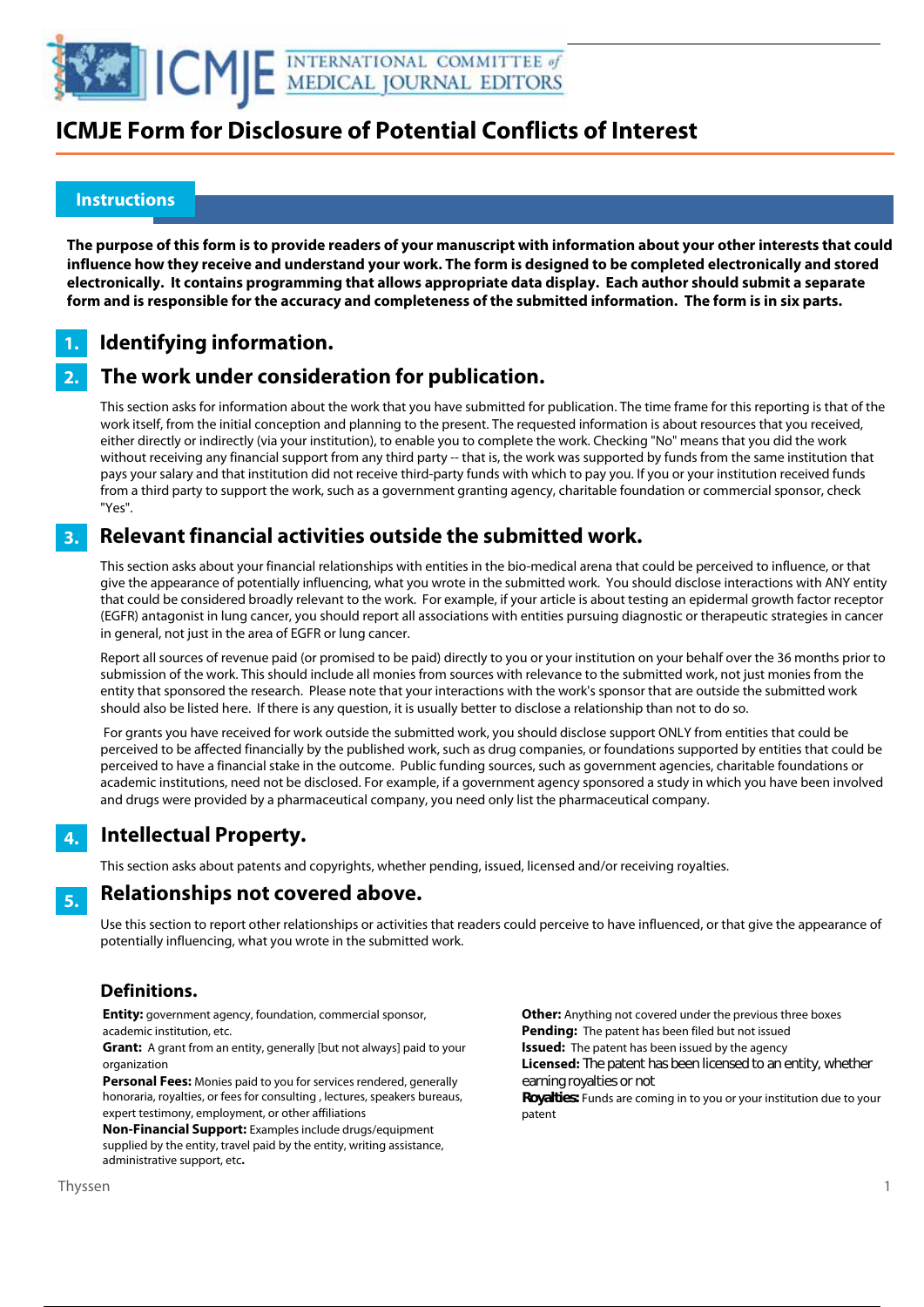

### **Instructions**

**The purpose of this form is to provide readers of your manuscript with information about your other interests that could influence how they receive and understand your work. The form is designed to be completed electronically and stored electronically. It contains programming that allows appropriate data display. Each author should submit a separate form and is responsible for the accuracy and completeness of the submitted information. The form is in six parts.** 

#### **Identifying information. 1.**

#### **The work under consideration for publication. 2.**

This section asks for information about the work that you have submitted for publication. The time frame for this reporting is that of the work itself, from the initial conception and planning to the present. The requested information is about resources that you received, either directly or indirectly (via your institution), to enable you to complete the work. Checking "No" means that you did the work without receiving any financial support from any third party -- that is, the work was supported by funds from the same institution that pays your salary and that institution did not receive third-party funds with which to pay you. If you or your institution received funds from a third party to support the work, such as a government granting agency, charitable foundation or commercial sponsor, check "Yes".

#### **Relevant financial activities outside the submitted work. 3.**

This section asks about your financial relationships with entities in the bio-medical arena that could be perceived to influence, or that give the appearance of potentially influencing, what you wrote in the submitted work. You should disclose interactions with ANY entity that could be considered broadly relevant to the work. For example, if your article is about testing an epidermal growth factor receptor (EGFR) antagonist in lung cancer, you should report all associations with entities pursuing diagnostic or therapeutic strategies in cancer in general, not just in the area of EGFR or lung cancer.

Report all sources of revenue paid (or promised to be paid) directly to you or your institution on your behalf over the 36 months prior to submission of the work. This should include all monies from sources with relevance to the submitted work, not just monies from the entity that sponsored the research. Please note that your interactions with the work's sponsor that are outside the submitted work should also be listed here. If there is any question, it is usually better to disclose a relationship than not to do so.

 For grants you have received for work outside the submitted work, you should disclose support ONLY from entities that could be perceived to be affected financially by the published work, such as drug companies, or foundations supported by entities that could be perceived to have a financial stake in the outcome. Public funding sources, such as government agencies, charitable foundations or academic institutions, need not be disclosed. For example, if a government agency sponsored a study in which you have been involved and drugs were provided by a pharmaceutical company, you need only list the pharmaceutical company.

#### **Intellectual Property. 4.**

This section asks about patents and copyrights, whether pending, issued, licensed and/or receiving royalties.

#### **Relationships not covered above. 5.**

Use this section to report other relationships or activities that readers could perceive to have influenced, or that give the appearance of potentially influencing, what you wrote in the submitted work.

### **Definitions.**

**Entity:** government agency, foundation, commercial sponsor, academic institution, etc.

**Grant:** A grant from an entity, generally [but not always] paid to your organization

**Personal Fees:** Monies paid to you for services rendered, generally honoraria, royalties, or fees for consulting , lectures, speakers bureaus, expert testimony, employment, or other affiliations

**Non-Financial Support:** Examples include drugs/equipment supplied by the entity, travel paid by the entity, writing assistance, administrative support, etc**.**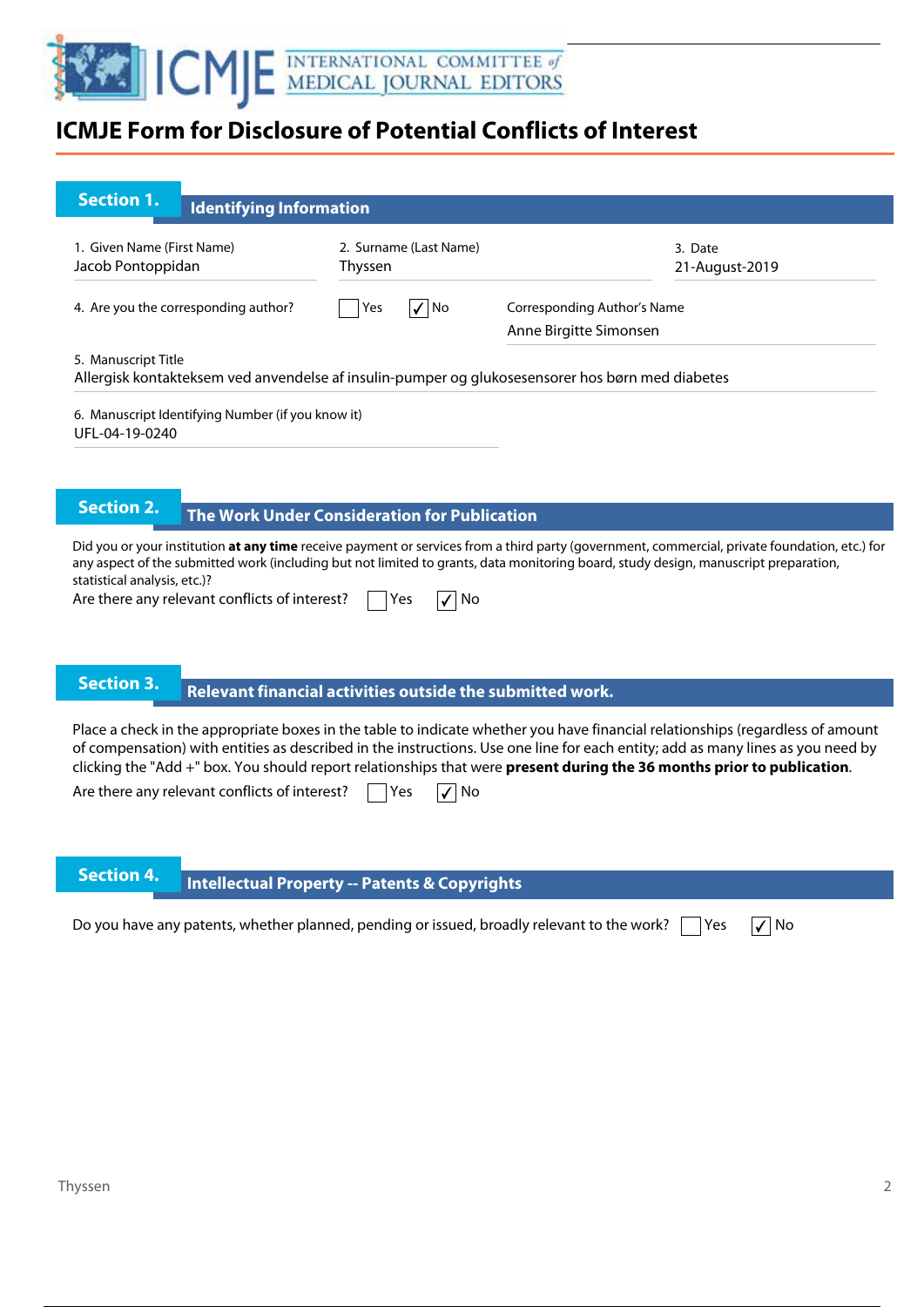

| <b>Section 1.</b>                               | <b>Identifying Information</b>                    |                                                           |                                                                                                                                                                                                                                                                                                                                                                                             |
|-------------------------------------------------|---------------------------------------------------|-----------------------------------------------------------|---------------------------------------------------------------------------------------------------------------------------------------------------------------------------------------------------------------------------------------------------------------------------------------------------------------------------------------------------------------------------------------------|
| 1. Given Name (First Name)<br>Jacob Pontoppidan |                                                   | 2. Surname (Last Name)<br>Thyssen                         | 3. Date<br>21-August-2019                                                                                                                                                                                                                                                                                                                                                                   |
| 4. Are you the corresponding author?            |                                                   | $\sqrt{ N}$<br>Yes                                        | Corresponding Author's Name<br>Anne Birgitte Simonsen                                                                                                                                                                                                                                                                                                                                       |
| 5. Manuscript Title                             |                                                   |                                                           | Allergisk kontakteksem ved anvendelse af insulin-pumper og glukosesensorer hos børn med diabetes                                                                                                                                                                                                                                                                                            |
| UFL-04-19-0240                                  | 6. Manuscript Identifying Number (if you know it) |                                                           |                                                                                                                                                                                                                                                                                                                                                                                             |
|                                                 |                                                   |                                                           |                                                                                                                                                                                                                                                                                                                                                                                             |
| <b>Section 2.</b>                               |                                                   | <b>The Work Under Consideration for Publication</b>       |                                                                                                                                                                                                                                                                                                                                                                                             |
| statistical analysis, etc.)?                    |                                                   |                                                           | Did you or your institution at any time receive payment or services from a third party (government, commercial, private foundation, etc.) for<br>any aspect of the submitted work (including but not limited to grants, data monitoring board, study design, manuscript preparation,                                                                                                        |
|                                                 | Are there any relevant conflicts of interest?     | No<br>Yes                                                 |                                                                                                                                                                                                                                                                                                                                                                                             |
|                                                 |                                                   |                                                           |                                                                                                                                                                                                                                                                                                                                                                                             |
| <b>Section 3.</b>                               |                                                   |                                                           |                                                                                                                                                                                                                                                                                                                                                                                             |
|                                                 |                                                   | Relevant financial activities outside the submitted work. |                                                                                                                                                                                                                                                                                                                                                                                             |
|                                                 |                                                   |                                                           | Place a check in the appropriate boxes in the table to indicate whether you have financial relationships (regardless of amount<br>of compensation) with entities as described in the instructions. Use one line for each entity; add as many lines as you need by<br>clicking the "Add +" box. You should report relationships that were present during the 36 months prior to publication. |
|                                                 | Are there any relevant conflicts of interest?     | Yes<br>  No                                               |                                                                                                                                                                                                                                                                                                                                                                                             |
|                                                 |                                                   |                                                           |                                                                                                                                                                                                                                                                                                                                                                                             |
| $C$ action $\Lambda$                            |                                                   |                                                           |                                                                                                                                                                                                                                                                                                                                                                                             |

| Do you have any patents, whether planned, pending or issued, broadly relevant to the work? $\Box$ Yes $\Box$ No |  |  |
|-----------------------------------------------------------------------------------------------------------------|--|--|
|-----------------------------------------------------------------------------------------------------------------|--|--|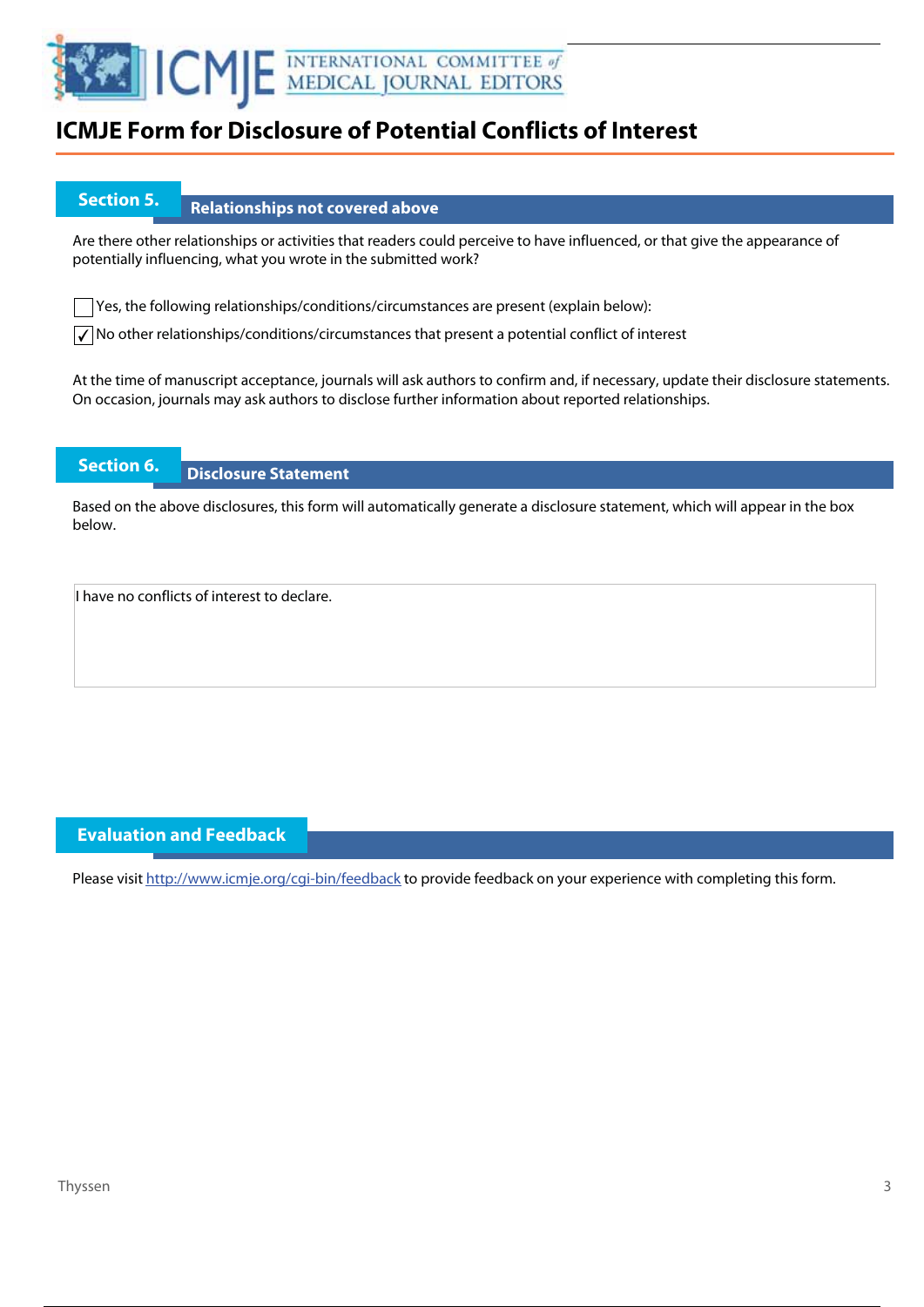

## **Section 5.** Relationships not covered above

Are there other relationships or activities that readers could perceive to have influenced, or that give the appearance of potentially influencing, what you wrote in the submitted work?

Yes, the following relationships/conditions/circumstances are present (explain below):

 $\sqrt{\sqrt{}}$  No other relationships/conditions/circumstances that present a potential conflict of interest

At the time of manuscript acceptance, journals will ask authors to confirm and, if necessary, update their disclosure statements. On occasion, journals may ask authors to disclose further information about reported relationships.

### **Section 6. Disclosure Statement**

Based on the above disclosures, this form will automatically generate a disclosure statement, which will appear in the box below.

I have no conflicts of interest to declare.

### **Evaluation and Feedback**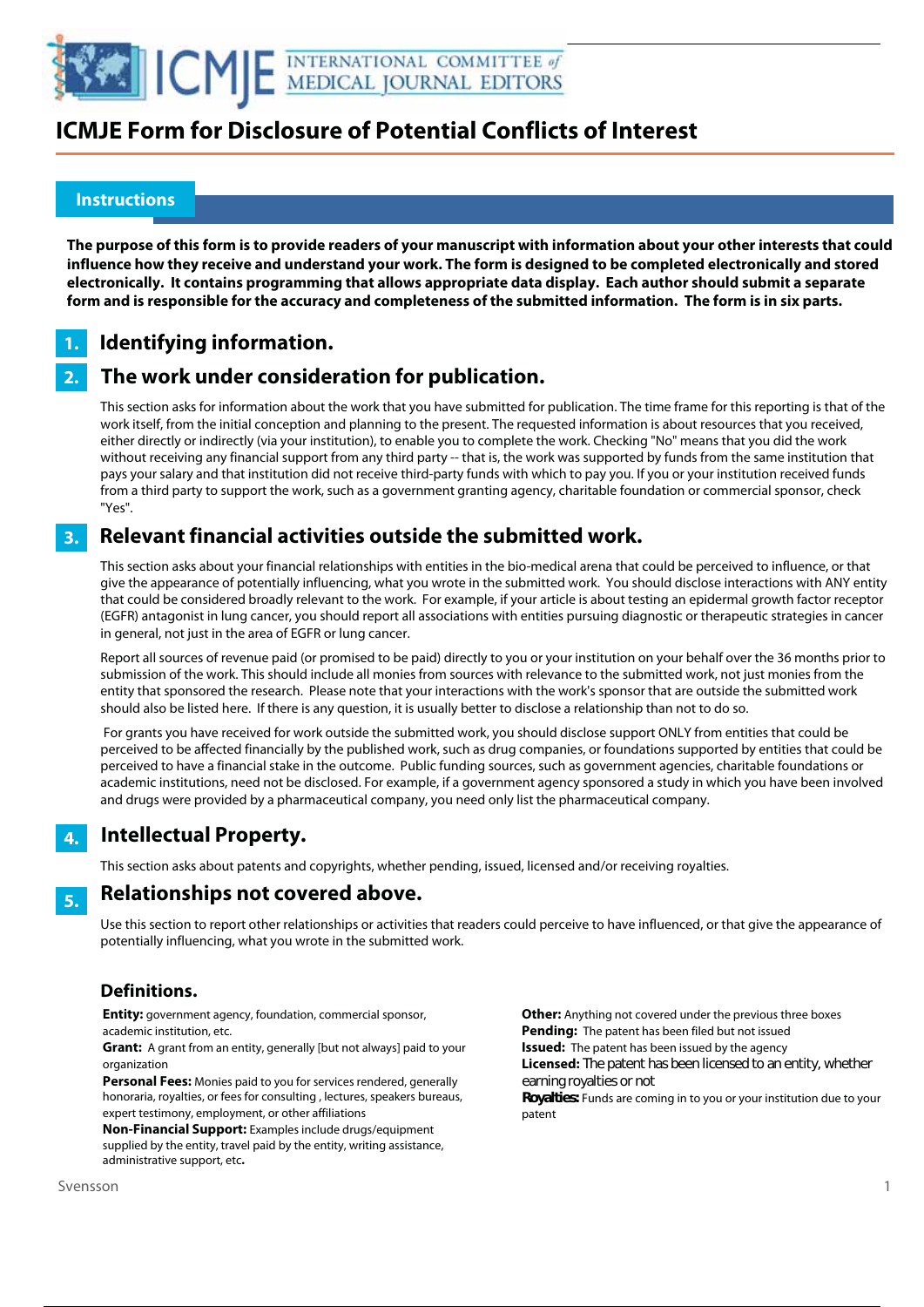

### **Instructions**

**The purpose of this form is to provide readers of your manuscript with information about your other interests that could influence how they receive and understand your work. The form is designed to be completed electronically and stored electronically. It contains programming that allows appropriate data display. Each author should submit a separate form and is responsible for the accuracy and completeness of the submitted information. The form is in six parts.** 

#### **Identifying information. 1.**

#### **The work under consideration for publication. 2.**

This section asks for information about the work that you have submitted for publication. The time frame for this reporting is that of the work itself, from the initial conception and planning to the present. The requested information is about resources that you received, either directly or indirectly (via your institution), to enable you to complete the work. Checking "No" means that you did the work without receiving any financial support from any third party -- that is, the work was supported by funds from the same institution that pays your salary and that institution did not receive third-party funds with which to pay you. If you or your institution received funds from a third party to support the work, such as a government granting agency, charitable foundation or commercial sponsor, check "Yes".

#### **Relevant financial activities outside the submitted work. 3.**

This section asks about your financial relationships with entities in the bio-medical arena that could be perceived to influence, or that give the appearance of potentially influencing, what you wrote in the submitted work. You should disclose interactions with ANY entity that could be considered broadly relevant to the work. For example, if your article is about testing an epidermal growth factor receptor (EGFR) antagonist in lung cancer, you should report all associations with entities pursuing diagnostic or therapeutic strategies in cancer in general, not just in the area of EGFR or lung cancer.

Report all sources of revenue paid (or promised to be paid) directly to you or your institution on your behalf over the 36 months prior to submission of the work. This should include all monies from sources with relevance to the submitted work, not just monies from the entity that sponsored the research. Please note that your interactions with the work's sponsor that are outside the submitted work should also be listed here. If there is any question, it is usually better to disclose a relationship than not to do so.

 For grants you have received for work outside the submitted work, you should disclose support ONLY from entities that could be perceived to be affected financially by the published work, such as drug companies, or foundations supported by entities that could be perceived to have a financial stake in the outcome. Public funding sources, such as government agencies, charitable foundations or academic institutions, need not be disclosed. For example, if a government agency sponsored a study in which you have been involved and drugs were provided by a pharmaceutical company, you need only list the pharmaceutical company.

#### **Intellectual Property. 4.**

This section asks about patents and copyrights, whether pending, issued, licensed and/or receiving royalties.

#### **Relationships not covered above. 5.**

Use this section to report other relationships or activities that readers could perceive to have influenced, or that give the appearance of potentially influencing, what you wrote in the submitted work.

### **Definitions.**

**Entity:** government agency, foundation, commercial sponsor, academic institution, etc.

**Grant:** A grant from an entity, generally [but not always] paid to your organization

**Personal Fees:** Monies paid to you for services rendered, generally honoraria, royalties, or fees for consulting , lectures, speakers bureaus, expert testimony, employment, or other affiliations

**Non-Financial Support:** Examples include drugs/equipment supplied by the entity, travel paid by the entity, writing assistance, administrative support, etc**.**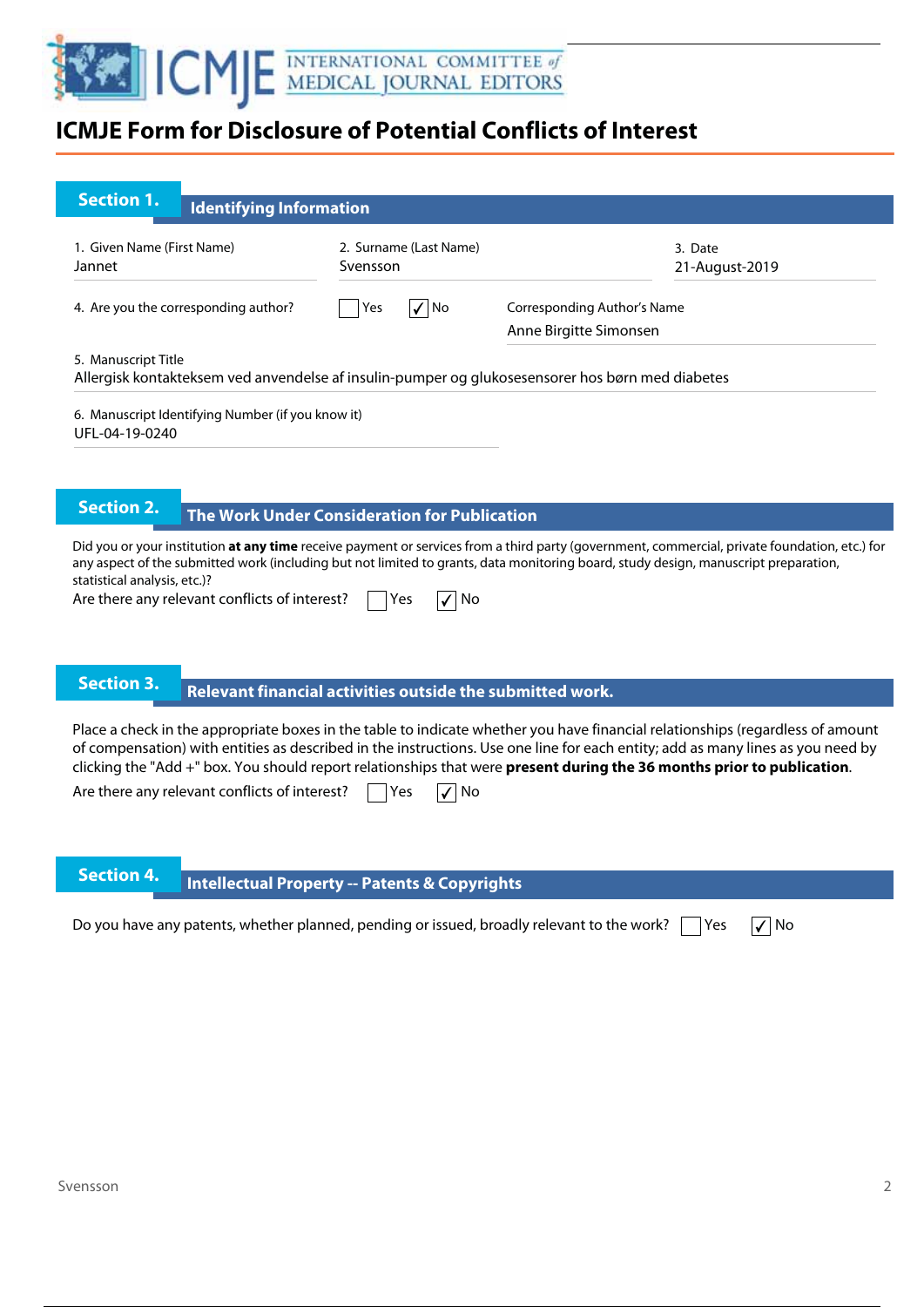

| <b>Section 1.</b><br><b>Identifying Information</b>                                                                     |                                                           |                                                                                                                                                                                                                                                                                                                                                                                             |
|-------------------------------------------------------------------------------------------------------------------------|-----------------------------------------------------------|---------------------------------------------------------------------------------------------------------------------------------------------------------------------------------------------------------------------------------------------------------------------------------------------------------------------------------------------------------------------------------------------|
| 1. Given Name (First Name)<br>Jannet                                                                                    | 2. Surname (Last Name)<br>Svensson                        | 3. Date<br>21-August-2019                                                                                                                                                                                                                                                                                                                                                                   |
| 4. Are you the corresponding author?                                                                                    | $\sqrt{ N_{0}}$<br>Yes                                    | Corresponding Author's Name<br>Anne Birgitte Simonsen                                                                                                                                                                                                                                                                                                                                       |
| 5. Manuscript Title<br>Allergisk kontakteksem ved anvendelse af insulin-pumper og glukosesensorer hos børn med diabetes |                                                           |                                                                                                                                                                                                                                                                                                                                                                                             |
| 6. Manuscript Identifying Number (if you know it)<br>UFL-04-19-0240                                                     |                                                           |                                                                                                                                                                                                                                                                                                                                                                                             |
|                                                                                                                         |                                                           |                                                                                                                                                                                                                                                                                                                                                                                             |
| <b>Section 2.</b>                                                                                                       | The Work Under Consideration for Publication              |                                                                                                                                                                                                                                                                                                                                                                                             |
| statistical analysis, etc.)?<br>Are there any relevant conflicts of interest?                                           | No<br>Yes                                                 | Did you or your institution at any time receive payment or services from a third party (government, commercial, private foundation, etc.) for<br>any aspect of the submitted work (including but not limited to grants, data monitoring board, study design, manuscript preparation,                                                                                                        |
| <b>Section 3.</b>                                                                                                       | Relevant financial activities outside the submitted work. |                                                                                                                                                                                                                                                                                                                                                                                             |
| Are there any relevant conflicts of interest?                                                                           | No<br>Yes                                                 | Place a check in the appropriate boxes in the table to indicate whether you have financial relationships (regardless of amount<br>of compensation) with entities as described in the instructions. Use one line for each entity; add as many lines as you need by<br>clicking the "Add +" box. You should report relationships that were present during the 36 months prior to publication. |
| <b>Section 4.</b>                                                                                                       | <b>Intellectual Property -- Patents &amp; Copyrights</b>  |                                                                                                                                                                                                                                                                                                                                                                                             |

Do you have any patents, whether planned, pending or issued, broadly relevant to the work?  $\Box$  Yes  $\Box$  No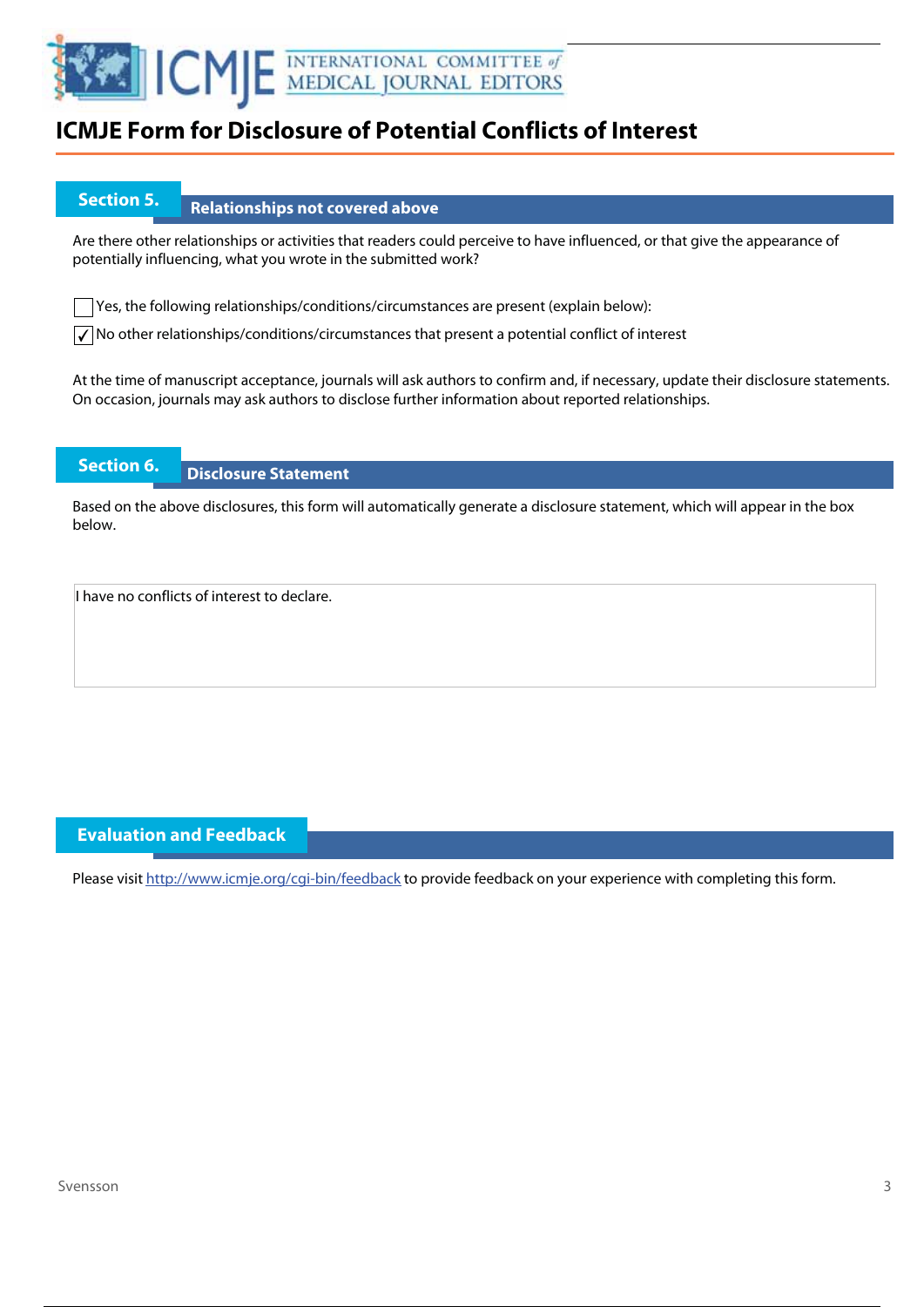

## **Section 5.** Relationships not covered above

Are there other relationships or activities that readers could perceive to have influenced, or that give the appearance of potentially influencing, what you wrote in the submitted work?

Yes, the following relationships/conditions/circumstances are present (explain below):

 $\sqrt{\sqrt{}}$  No other relationships/conditions/circumstances that present a potential conflict of interest

At the time of manuscript acceptance, journals will ask authors to confirm and, if necessary, update their disclosure statements. On occasion, journals may ask authors to disclose further information about reported relationships.

### **Section 6. Disclosure Statement**

Based on the above disclosures, this form will automatically generate a disclosure statement, which will appear in the box below.

I have no conflicts of interest to declare.

### **Evaluation and Feedback**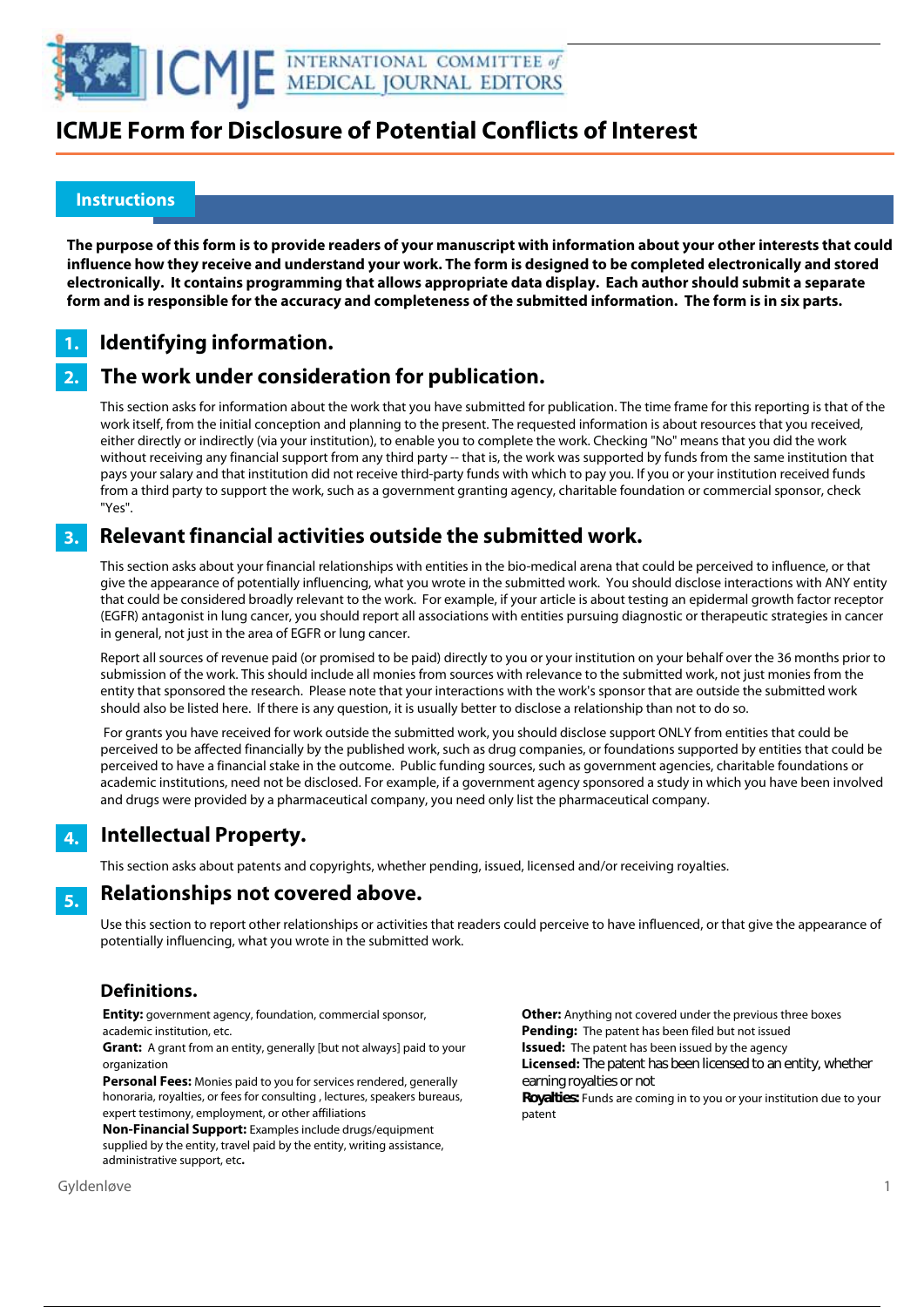

### **Instructions**

**The purpose of this form is to provide readers of your manuscript with information about your other interests that could influence how they receive and understand your work. The form is designed to be completed electronically and stored electronically. It contains programming that allows appropriate data display. Each author should submit a separate form and is responsible for the accuracy and completeness of the submitted information. The form is in six parts.** 

#### **Identifying information. 1.**

#### **The work under consideration for publication. 2.**

This section asks for information about the work that you have submitted for publication. The time frame for this reporting is that of the work itself, from the initial conception and planning to the present. The requested information is about resources that you received, either directly or indirectly (via your institution), to enable you to complete the work. Checking "No" means that you did the work without receiving any financial support from any third party -- that is, the work was supported by funds from the same institution that pays your salary and that institution did not receive third-party funds with which to pay you. If you or your institution received funds from a third party to support the work, such as a government granting agency, charitable foundation or commercial sponsor, check "Yes".

#### **Relevant financial activities outside the submitted work. 3.**

This section asks about your financial relationships with entities in the bio-medical arena that could be perceived to influence, or that give the appearance of potentially influencing, what you wrote in the submitted work. You should disclose interactions with ANY entity that could be considered broadly relevant to the work. For example, if your article is about testing an epidermal growth factor receptor (EGFR) antagonist in lung cancer, you should report all associations with entities pursuing diagnostic or therapeutic strategies in cancer in general, not just in the area of EGFR or lung cancer.

Report all sources of revenue paid (or promised to be paid) directly to you or your institution on your behalf over the 36 months prior to submission of the work. This should include all monies from sources with relevance to the submitted work, not just monies from the entity that sponsored the research. Please note that your interactions with the work's sponsor that are outside the submitted work should also be listed here. If there is any question, it is usually better to disclose a relationship than not to do so.

 For grants you have received for work outside the submitted work, you should disclose support ONLY from entities that could be perceived to be affected financially by the published work, such as drug companies, or foundations supported by entities that could be perceived to have a financial stake in the outcome. Public funding sources, such as government agencies, charitable foundations or academic institutions, need not be disclosed. For example, if a government agency sponsored a study in which you have been involved and drugs were provided by a pharmaceutical company, you need only list the pharmaceutical company.

#### **Intellectual Property. 4.**

This section asks about patents and copyrights, whether pending, issued, licensed and/or receiving royalties.

#### **Relationships not covered above. 5.**

Use this section to report other relationships or activities that readers could perceive to have influenced, or that give the appearance of potentially influencing, what you wrote in the submitted work.

### **Definitions.**

**Entity:** government agency, foundation, commercial sponsor, academic institution, etc.

**Grant:** A grant from an entity, generally [but not always] paid to your organization

**Personal Fees:** Monies paid to you for services rendered, generally honoraria, royalties, or fees for consulting , lectures, speakers bureaus, expert testimony, employment, or other affiliations

**Non-Financial Support:** Examples include drugs/equipment supplied by the entity, travel paid by the entity, writing assistance, administrative support, etc**.**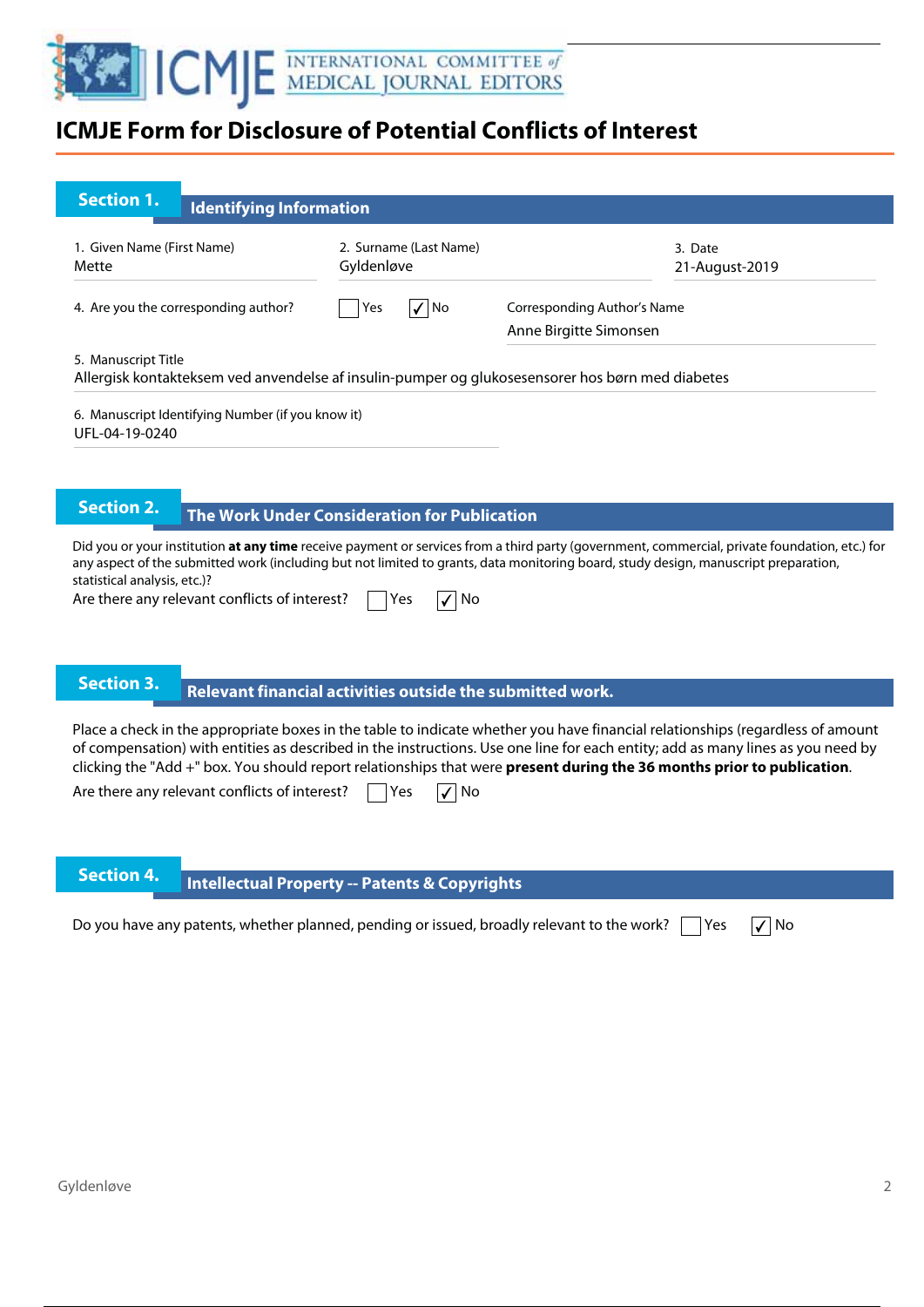

| <b>Section 1.</b>                   | <b>Identifying Information</b>                    |                                                           |                                                                                                                                                                                                                                                                                                                                                                                             |
|-------------------------------------|---------------------------------------------------|-----------------------------------------------------------|---------------------------------------------------------------------------------------------------------------------------------------------------------------------------------------------------------------------------------------------------------------------------------------------------------------------------------------------------------------------------------------------|
| 1. Given Name (First Name)<br>Mette |                                                   | 2. Surname (Last Name)<br>Gyldenløve                      | 3. Date<br>21-August-2019                                                                                                                                                                                                                                                                                                                                                                   |
|                                     | 4. Are you the corresponding author?              | $\sqrt{ N_{0}}$<br>Yes                                    | Corresponding Author's Name<br>Anne Birgitte Simonsen                                                                                                                                                                                                                                                                                                                                       |
| 5. Manuscript Title                 |                                                   |                                                           | Allergisk kontakteksem ved anvendelse af insulin-pumper og glukosesensorer hos børn med diabetes                                                                                                                                                                                                                                                                                            |
| UFL-04-19-0240                      | 6. Manuscript Identifying Number (if you know it) |                                                           |                                                                                                                                                                                                                                                                                                                                                                                             |
| <b>Section 2.</b>                   |                                                   | <b>The Work Under Consideration for Publication</b>       |                                                                                                                                                                                                                                                                                                                                                                                             |
| statistical analysis, etc.)?        | Are there any relevant conflicts of interest?     | No<br>Yes                                                 | Did you or your institution at any time receive payment or services from a third party (government, commercial, private foundation, etc.) for<br>any aspect of the submitted work (including but not limited to grants, data monitoring board, study design, manuscript preparation,                                                                                                        |
| <b>Section 3.</b>                   |                                                   | Relevant financial activities outside the submitted work. |                                                                                                                                                                                                                                                                                                                                                                                             |
|                                     | Are there any relevant conflicts of interest?     | Yes<br>No                                                 | Place a check in the appropriate boxes in the table to indicate whether you have financial relationships (regardless of amount<br>of compensation) with entities as described in the instructions. Use one line for each entity; add as many lines as you need by<br>clicking the "Add +" box. You should report relationships that were present during the 36 months prior to publication. |
| <b>Section 4</b>                    |                                                   |                                                           |                                                                                                                                                                                                                                                                                                                                                                                             |

| Do you have any patents, whether planned, pending or issued, broadly relevant to the work? $\Box$ Yes $\Box$ No |  |  |  |  |
|-----------------------------------------------------------------------------------------------------------------|--|--|--|--|
|-----------------------------------------------------------------------------------------------------------------|--|--|--|--|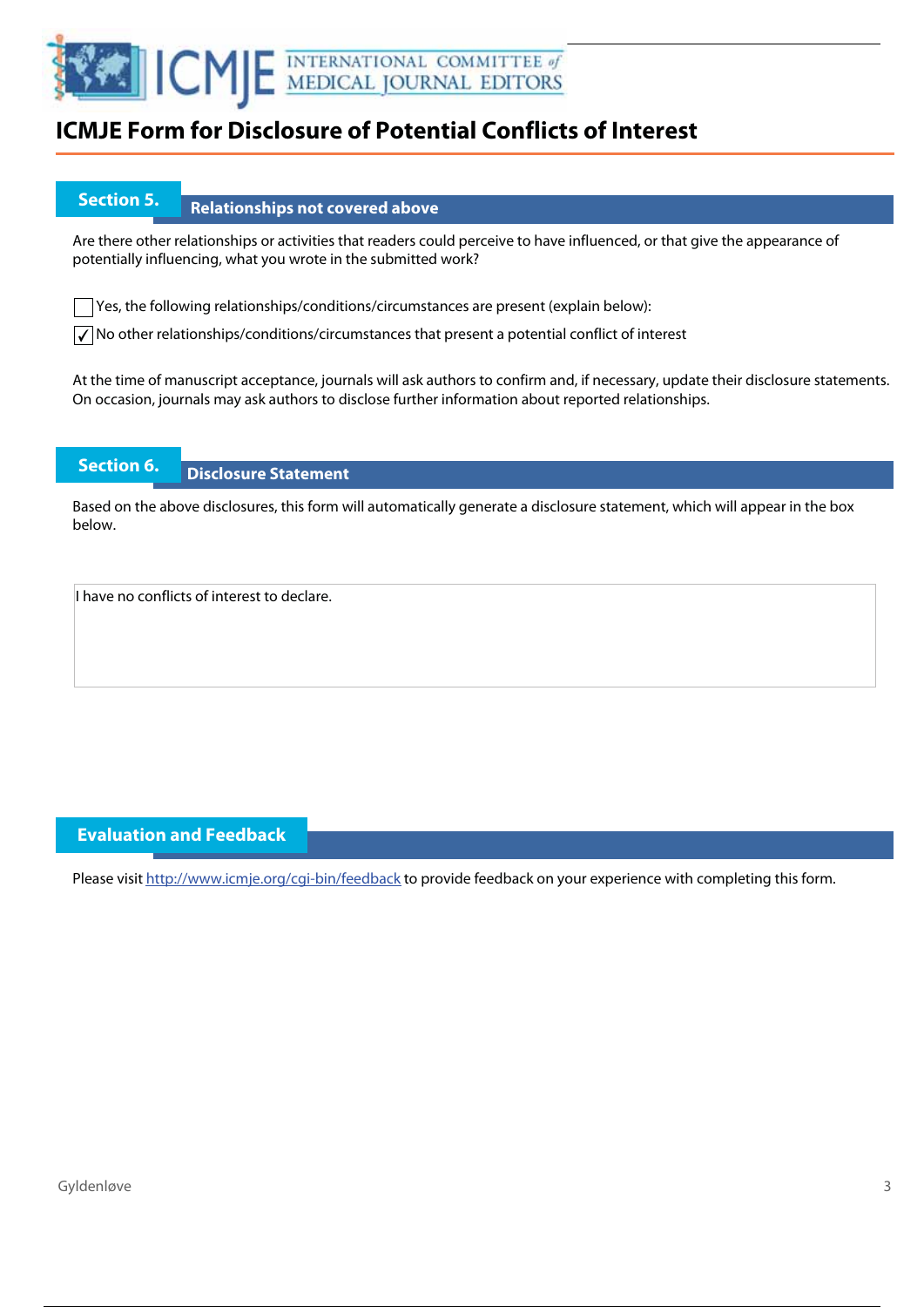

## **Section 5.** Relationships not covered above

Are there other relationships or activities that readers could perceive to have influenced, or that give the appearance of potentially influencing, what you wrote in the submitted work?

Yes, the following relationships/conditions/circumstances are present (explain below):

 $\sqrt{\sqrt{}}$  No other relationships/conditions/circumstances that present a potential conflict of interest

At the time of manuscript acceptance, journals will ask authors to confirm and, if necessary, update their disclosure statements. On occasion, journals may ask authors to disclose further information about reported relationships.

### **Section 6. Disclosure Statement**

Based on the above disclosures, this form will automatically generate a disclosure statement, which will appear in the box below.

I have no conflicts of interest to declare.

### **Evaluation and Feedback**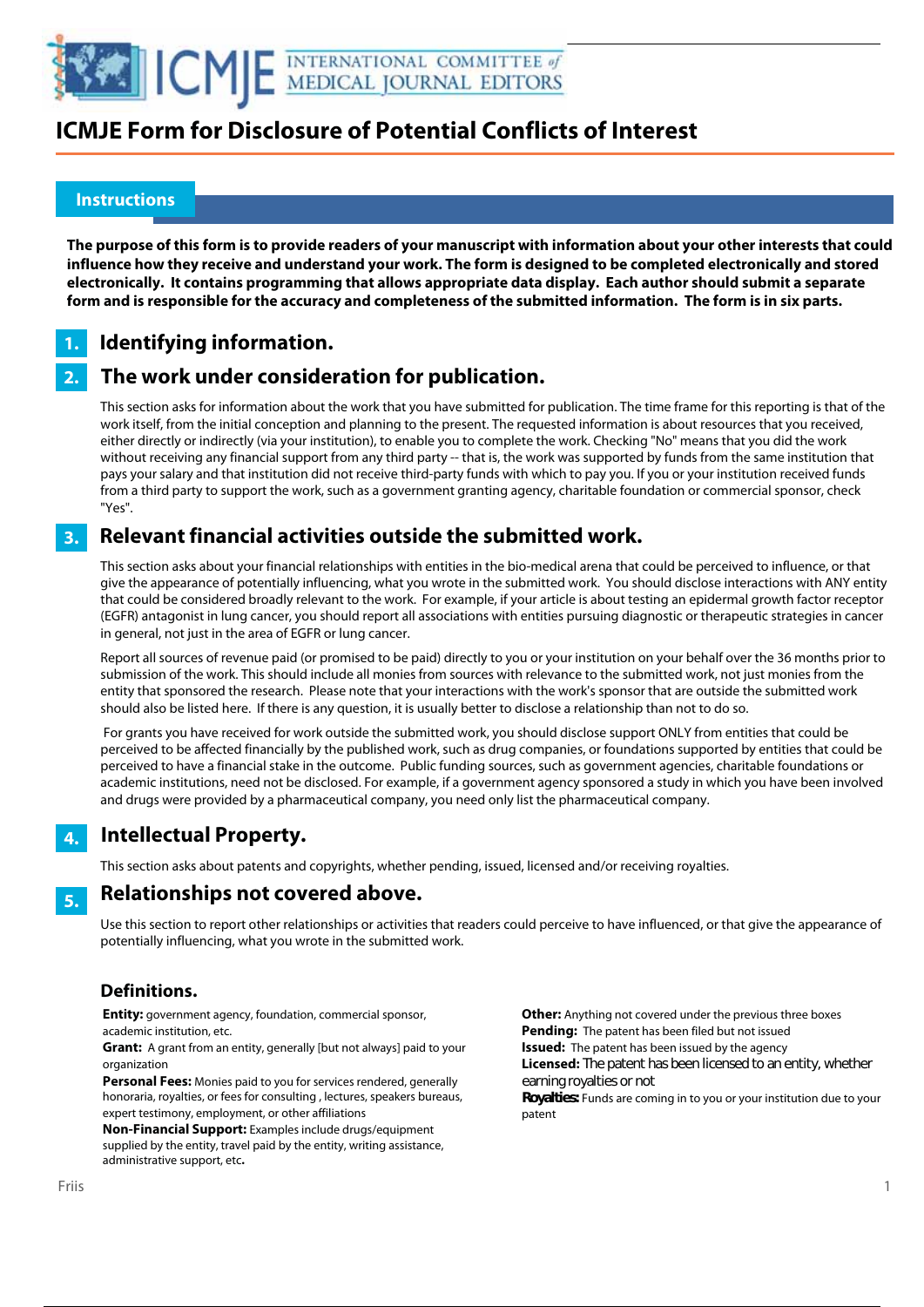

### **Instructions**

**The purpose of this form is to provide readers of your manuscript with information about your other interests that could influence how they receive and understand your work. The form is designed to be completed electronically and stored electronically. It contains programming that allows appropriate data display. Each author should submit a separate form and is responsible for the accuracy and completeness of the submitted information. The form is in six parts.** 

#### **Identifying information. 1.**

#### **The work under consideration for publication. 2.**

This section asks for information about the work that you have submitted for publication. The time frame for this reporting is that of the work itself, from the initial conception and planning to the present. The requested information is about resources that you received, either directly or indirectly (via your institution), to enable you to complete the work. Checking "No" means that you did the work without receiving any financial support from any third party -- that is, the work was supported by funds from the same institution that pays your salary and that institution did not receive third-party funds with which to pay you. If you or your institution received funds from a third party to support the work, such as a government granting agency, charitable foundation or commercial sponsor, check "Yes".

#### **Relevant financial activities outside the submitted work. 3.**

This section asks about your financial relationships with entities in the bio-medical arena that could be perceived to influence, or that give the appearance of potentially influencing, what you wrote in the submitted work. You should disclose interactions with ANY entity that could be considered broadly relevant to the work. For example, if your article is about testing an epidermal growth factor receptor (EGFR) antagonist in lung cancer, you should report all associations with entities pursuing diagnostic or therapeutic strategies in cancer in general, not just in the area of EGFR or lung cancer.

Report all sources of revenue paid (or promised to be paid) directly to you or your institution on your behalf over the 36 months prior to submission of the work. This should include all monies from sources with relevance to the submitted work, not just monies from the entity that sponsored the research. Please note that your interactions with the work's sponsor that are outside the submitted work should also be listed here. If there is any question, it is usually better to disclose a relationship than not to do so.

 For grants you have received for work outside the submitted work, you should disclose support ONLY from entities that could be perceived to be affected financially by the published work, such as drug companies, or foundations supported by entities that could be perceived to have a financial stake in the outcome. Public funding sources, such as government agencies, charitable foundations or academic institutions, need not be disclosed. For example, if a government agency sponsored a study in which you have been involved and drugs were provided by a pharmaceutical company, you need only list the pharmaceutical company.

#### **Intellectual Property. 4.**

This section asks about patents and copyrights, whether pending, issued, licensed and/or receiving royalties.

#### **Relationships not covered above. 5.**

Use this section to report other relationships or activities that readers could perceive to have influenced, or that give the appearance of potentially influencing, what you wrote in the submitted work.

### **Definitions.**

**Entity:** government agency, foundation, commercial sponsor, academic institution, etc.

**Grant:** A grant from an entity, generally [but not always] paid to your organization

**Personal Fees:** Monies paid to you for services rendered, generally honoraria, royalties, or fees for consulting , lectures, speakers bureaus, expert testimony, employment, or other affiliations

**Non-Financial Support:** Examples include drugs/equipment supplied by the entity, travel paid by the entity, writing assistance, administrative support, etc**.**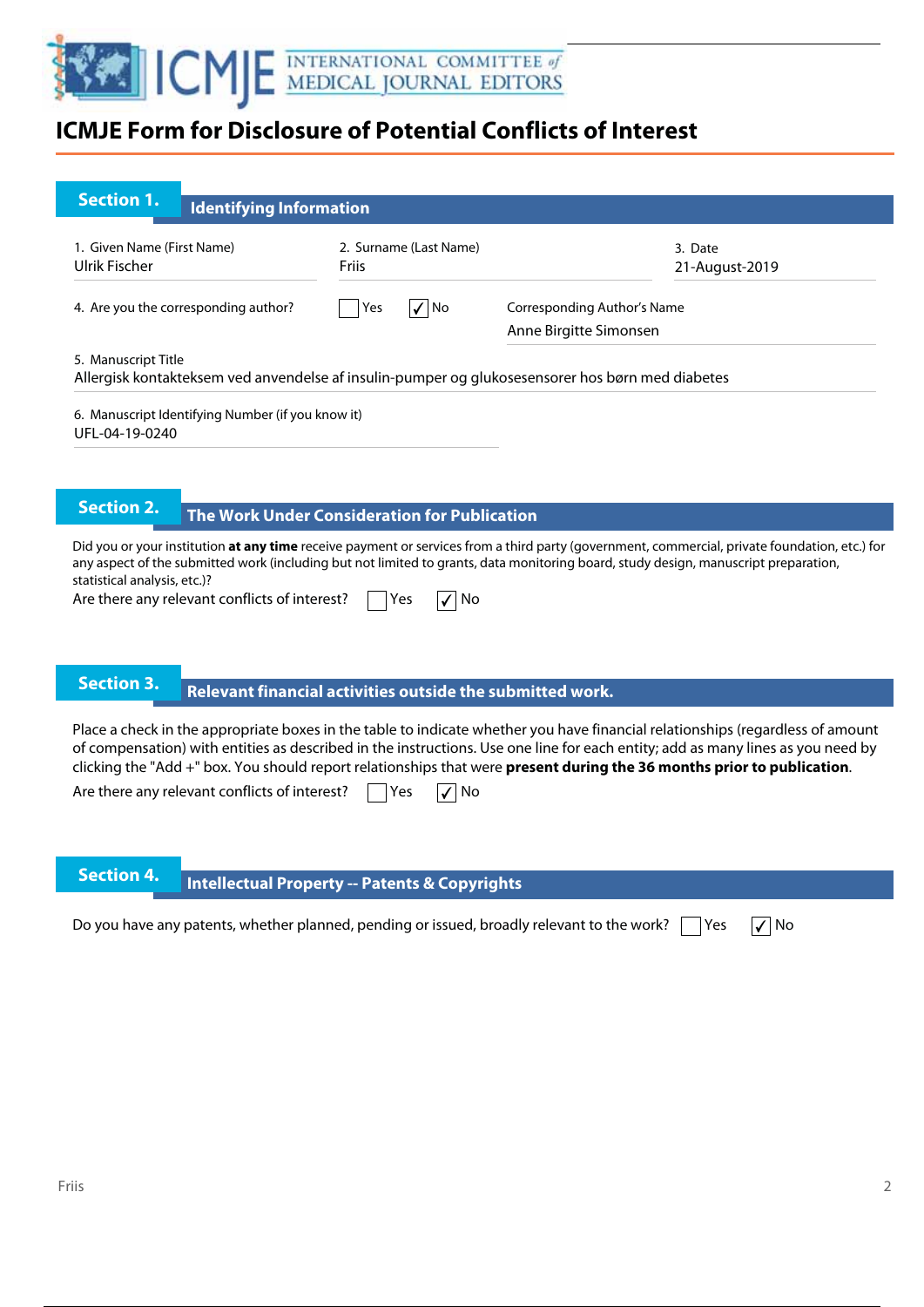

| <b>Section 1.</b>                                  | <b>Identifying Information</b>                    |                                                           |                                                                                                                                                                                                                                                                                                                                                                                             |
|----------------------------------------------------|---------------------------------------------------|-----------------------------------------------------------|---------------------------------------------------------------------------------------------------------------------------------------------------------------------------------------------------------------------------------------------------------------------------------------------------------------------------------------------------------------------------------------------|
| 1. Given Name (First Name)<br><b>Ulrik Fischer</b> |                                                   | 2. Surname (Last Name)<br>Friis                           | 3. Date<br>21-August-2019                                                                                                                                                                                                                                                                                                                                                                   |
| 4. Are you the corresponding author?               |                                                   | $\sqrt{ N_0 }$<br>Yes                                     | Corresponding Author's Name<br>Anne Birgitte Simonsen                                                                                                                                                                                                                                                                                                                                       |
| 5. Manuscript Title                                |                                                   |                                                           | Allergisk kontakteksem ved anvendelse af insulin-pumper og glukosesensorer hos børn med diabetes                                                                                                                                                                                                                                                                                            |
| UFL-04-19-0240                                     | 6. Manuscript Identifying Number (if you know it) |                                                           |                                                                                                                                                                                                                                                                                                                                                                                             |
|                                                    |                                                   |                                                           |                                                                                                                                                                                                                                                                                                                                                                                             |
| <b>Section 2.</b>                                  |                                                   | The Work Under Consideration for Publication              |                                                                                                                                                                                                                                                                                                                                                                                             |
| statistical analysis, etc.)?                       | Are there any relevant conflicts of interest?     | Yes<br>No                                                 | Did you or your institution at any time receive payment or services from a third party (government, commercial, private foundation, etc.) for<br>any aspect of the submitted work (including but not limited to grants, data monitoring board, study design, manuscript preparation,                                                                                                        |
|                                                    |                                                   |                                                           |                                                                                                                                                                                                                                                                                                                                                                                             |
| <b>Section 3.</b>                                  |                                                   | Relevant financial activities outside the submitted work. |                                                                                                                                                                                                                                                                                                                                                                                             |
|                                                    | Are there any relevant conflicts of interest?     | No<br>Yes                                                 | Place a check in the appropriate boxes in the table to indicate whether you have financial relationships (regardless of amount<br>of compensation) with entities as described in the instructions. Use one line for each entity; add as many lines as you need by<br>clicking the "Add +" box. You should report relationships that were present during the 36 months prior to publication. |

| Do you have any patents, whether planned, pending or issued, broadly relevant to the work? $\Box$ Yes $\Box$ No |  |  |
|-----------------------------------------------------------------------------------------------------------------|--|--|
|-----------------------------------------------------------------------------------------------------------------|--|--|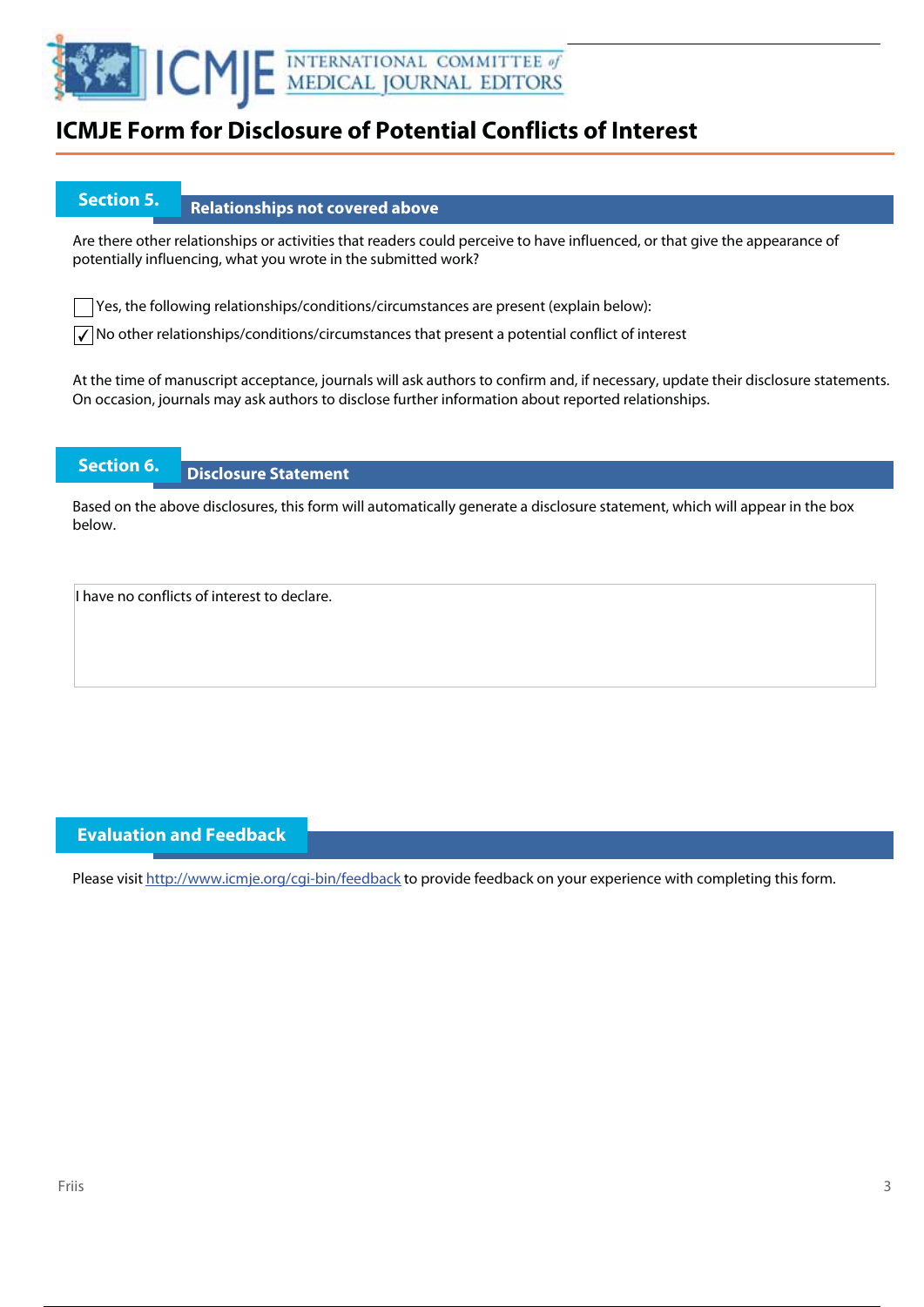

## **Section 5.** Relationships not covered above

Are there other relationships or activities that readers could perceive to have influenced, or that give the appearance of potentially influencing, what you wrote in the submitted work?

Yes, the following relationships/conditions/circumstances are present (explain below):

 $\sqrt{\sqrt{}}$  No other relationships/conditions/circumstances that present a potential conflict of interest

At the time of manuscript acceptance, journals will ask authors to confirm and, if necessary, update their disclosure statements. On occasion, journals may ask authors to disclose further information about reported relationships.

### **Section 6. Disclosure Statement**

Based on the above disclosures, this form will automatically generate a disclosure statement, which will appear in the box below.

I have no conflicts of interest to declare.

### **Evaluation and Feedback**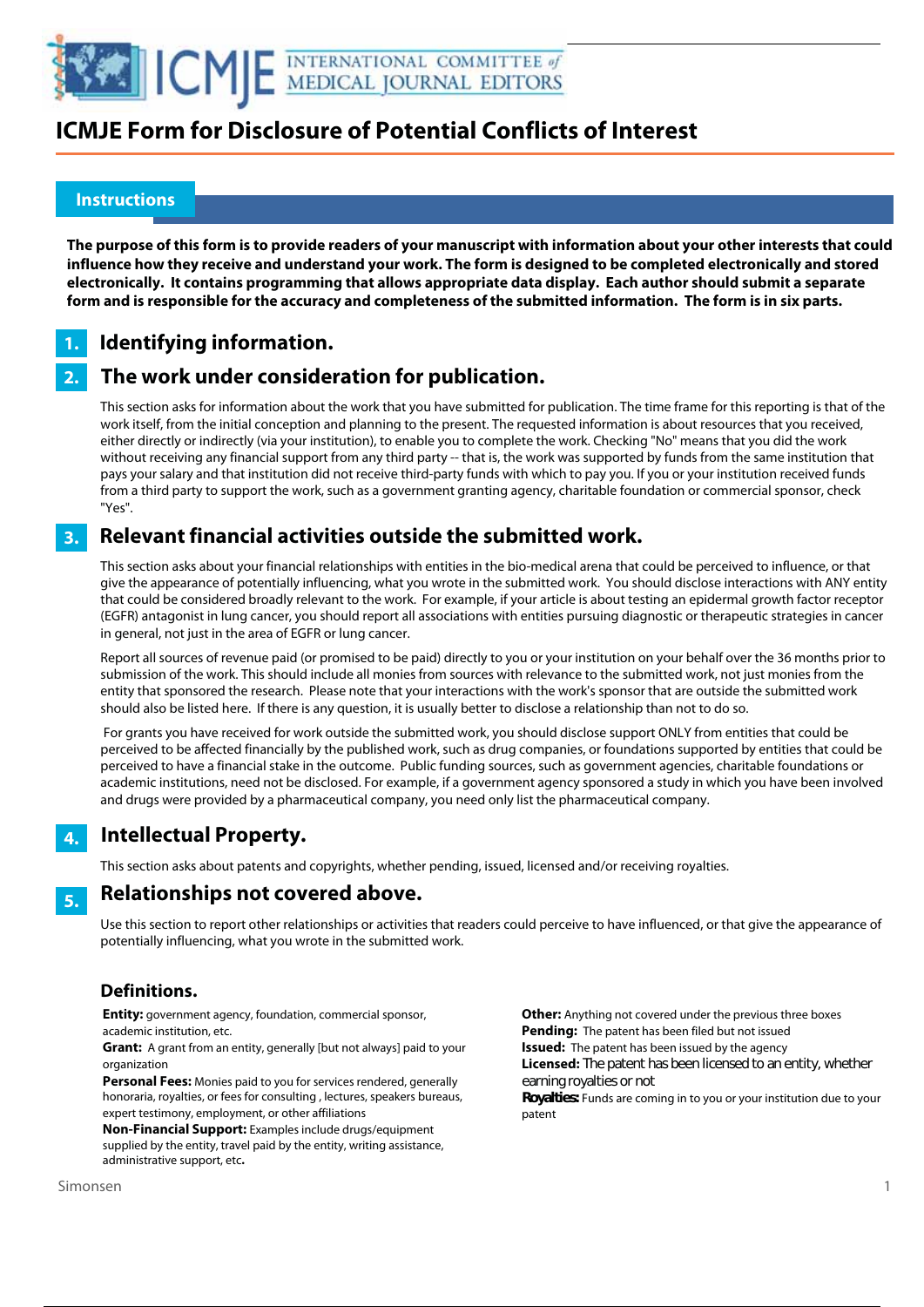

### **Instructions**

**The purpose of this form is to provide readers of your manuscript with information about your other interests that could influence how they receive and understand your work. The form is designed to be completed electronically and stored electronically. It contains programming that allows appropriate data display. Each author should submit a separate form and is responsible for the accuracy and completeness of the submitted information. The form is in six parts.** 

#### **Identifying information. 1.**

#### **The work under consideration for publication. 2.**

This section asks for information about the work that you have submitted for publication. The time frame for this reporting is that of the work itself, from the initial conception and planning to the present. The requested information is about resources that you received, either directly or indirectly (via your institution), to enable you to complete the work. Checking "No" means that you did the work without receiving any financial support from any third party -- that is, the work was supported by funds from the same institution that pays your salary and that institution did not receive third-party funds with which to pay you. If you or your institution received funds from a third party to support the work, such as a government granting agency, charitable foundation or commercial sponsor, check "Yes".

#### **Relevant financial activities outside the submitted work. 3.**

This section asks about your financial relationships with entities in the bio-medical arena that could be perceived to influence, or that give the appearance of potentially influencing, what you wrote in the submitted work. You should disclose interactions with ANY entity that could be considered broadly relevant to the work. For example, if your article is about testing an epidermal growth factor receptor (EGFR) antagonist in lung cancer, you should report all associations with entities pursuing diagnostic or therapeutic strategies in cancer in general, not just in the area of EGFR or lung cancer.

Report all sources of revenue paid (or promised to be paid) directly to you or your institution on your behalf over the 36 months prior to submission of the work. This should include all monies from sources with relevance to the submitted work, not just monies from the entity that sponsored the research. Please note that your interactions with the work's sponsor that are outside the submitted work should also be listed here. If there is any question, it is usually better to disclose a relationship than not to do so.

 For grants you have received for work outside the submitted work, you should disclose support ONLY from entities that could be perceived to be affected financially by the published work, such as drug companies, or foundations supported by entities that could be perceived to have a financial stake in the outcome. Public funding sources, such as government agencies, charitable foundations or academic institutions, need not be disclosed. For example, if a government agency sponsored a study in which you have been involved and drugs were provided by a pharmaceutical company, you need only list the pharmaceutical company.

#### **Intellectual Property. 4.**

This section asks about patents and copyrights, whether pending, issued, licensed and/or receiving royalties.

#### **Relationships not covered above. 5.**

Use this section to report other relationships or activities that readers could perceive to have influenced, or that give the appearance of potentially influencing, what you wrote in the submitted work.

### **Definitions.**

**Entity:** government agency, foundation, commercial sponsor, academic institution, etc.

**Grant:** A grant from an entity, generally [but not always] paid to your organization

**Personal Fees:** Monies paid to you for services rendered, generally honoraria, royalties, or fees for consulting , lectures, speakers bureaus, expert testimony, employment, or other affiliations

**Non-Financial Support:** Examples include drugs/equipment supplied by the entity, travel paid by the entity, writing assistance, administrative support, etc**.**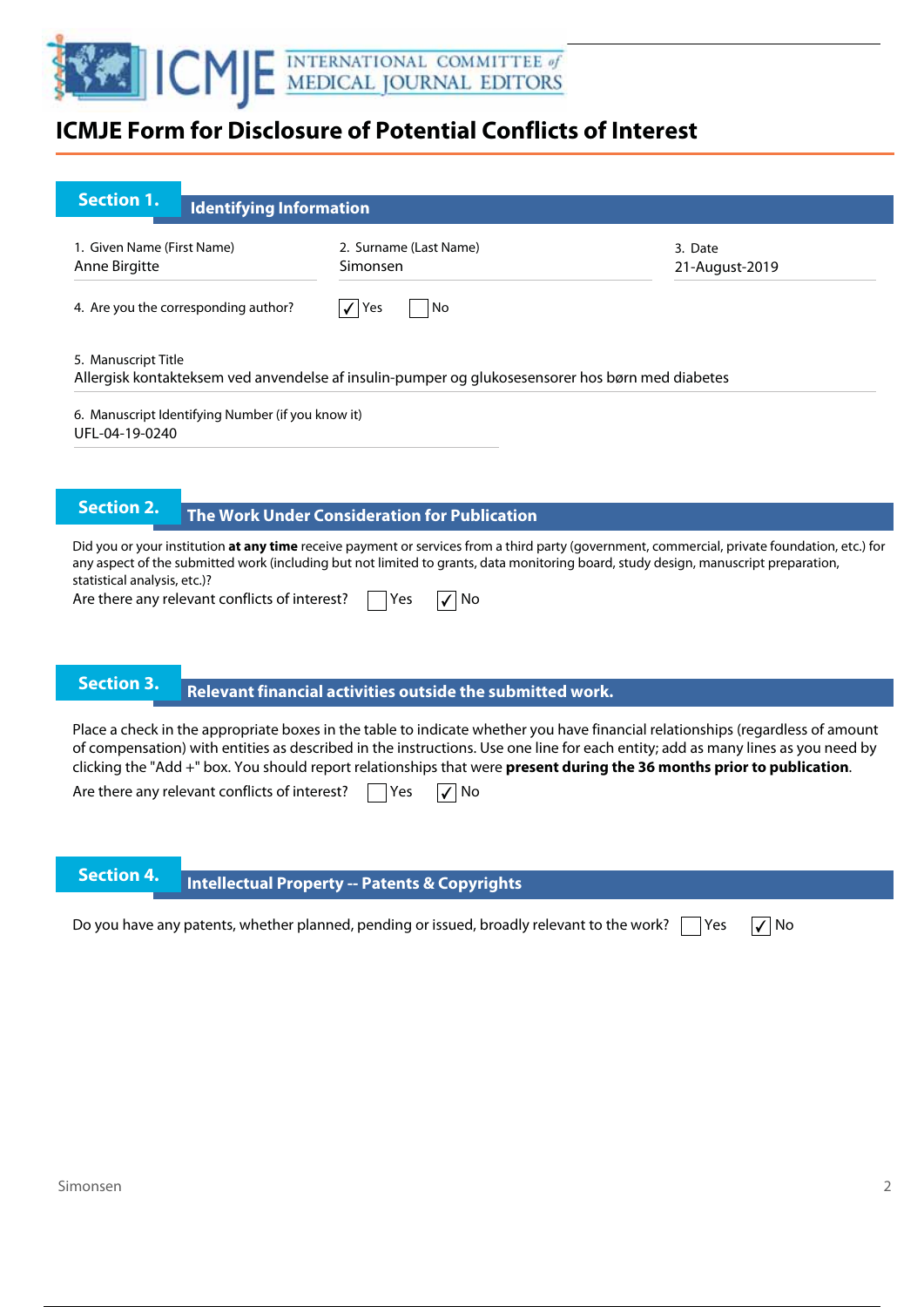

| Section 1.<br><b>Identifying Information</b>                                                                                                                                                                                                                                                                                                                                                                                                                          |                                                           |                           |
|-----------------------------------------------------------------------------------------------------------------------------------------------------------------------------------------------------------------------------------------------------------------------------------------------------------------------------------------------------------------------------------------------------------------------------------------------------------------------|-----------------------------------------------------------|---------------------------|
| 1. Given Name (First Name)<br>Anne Birgitte                                                                                                                                                                                                                                                                                                                                                                                                                           | 2. Surname (Last Name)<br>Simonsen                        | 3. Date<br>21-August-2019 |
| 4. Are you the corresponding author?                                                                                                                                                                                                                                                                                                                                                                                                                                  | $\sqrt{ \gamma_{es}}$<br>No                               |                           |
| 5. Manuscript Title<br>Allergisk kontakteksem ved anvendelse af insulin-pumper og glukosesensorer hos børn med diabetes                                                                                                                                                                                                                                                                                                                                               |                                                           |                           |
| 6. Manuscript Identifying Number (if you know it)<br>UFL-04-19-0240                                                                                                                                                                                                                                                                                                                                                                                                   |                                                           |                           |
| <b>Section 2.</b>                                                                                                                                                                                                                                                                                                                                                                                                                                                     |                                                           |                           |
| <b>The Work Under Consideration for Publication</b><br>Did you or your institution at any time receive payment or services from a third party (government, commercial, private foundation, etc.) for<br>any aspect of the submitted work (including but not limited to grants, data monitoring board, study design, manuscript preparation,<br>statistical analysis, etc.)?<br>Are there any relevant conflicts of interest?<br>Yes<br>$\sqrt{ }$ No                  |                                                           |                           |
| <b>Section 3.</b>                                                                                                                                                                                                                                                                                                                                                                                                                                                     | Relevant financial activities outside the submitted work. |                           |
| Place a check in the appropriate boxes in the table to indicate whether you have financial relationships (regardless of amount<br>of compensation) with entities as described in the instructions. Use one line for each entity; add as many lines as you need by<br>clicking the "Add +" box. You should report relationships that were present during the 36 months prior to publication.<br>Are there any relevant conflicts of interest?<br>Yes<br>$\sqrt{ N_0 }$ |                                                           |                           |
| <b>Section 4.</b>                                                                                                                                                                                                                                                                                                                                                                                                                                                     | <b>Intellectual Property -- Patents &amp; Copyrights</b>  |                           |

Do you have any patents, whether planned, pending or issued, broadly relevant to the work?  $\Box$  Yes  $\Box$  No